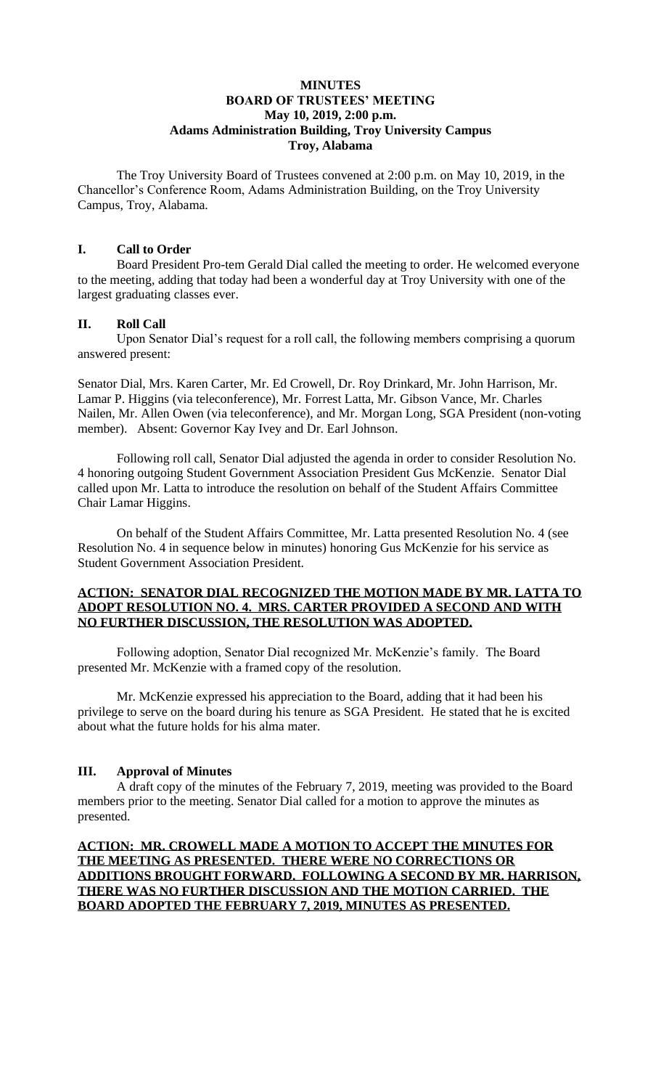## **MINUTES BOARD OF TRUSTEES' MEETING May 10, 2019, 2:00 p.m. Adams Administration Building, Troy University Campus Troy, Alabama**

The Troy University Board of Trustees convened at 2:00 p.m. on May 10, 2019, in the Chancellor's Conference Room, Adams Administration Building, on the Troy University Campus, Troy, Alabama.

## **I. Call to Order**

Board President Pro-tem Gerald Dial called the meeting to order. He welcomed everyone to the meeting, adding that today had been a wonderful day at Troy University with one of the largest graduating classes ever.

### **II. Roll Call**

Upon Senator Dial's request for a roll call, the following members comprising a quorum answered present:

Senator Dial, Mrs. Karen Carter, Mr. Ed Crowell, Dr. Roy Drinkard, Mr. John Harrison, Mr. Lamar P. Higgins (via teleconference), Mr. Forrest Latta, Mr. Gibson Vance, Mr. Charles Nailen, Mr. Allen Owen (via teleconference), and Mr. Morgan Long, SGA President (non-voting member). Absent: Governor Kay Ivey and Dr. Earl Johnson.

Following roll call, Senator Dial adjusted the agenda in order to consider Resolution No. 4 honoring outgoing Student Government Association President Gus McKenzie. Senator Dial called upon Mr. Latta to introduce the resolution on behalf of the Student Affairs Committee Chair Lamar Higgins.

On behalf of the Student Affairs Committee, Mr. Latta presented Resolution No. 4 (see Resolution No. 4 in sequence below in minutes) honoring Gus McKenzie for his service as Student Government Association President.

## **ACTION: SENATOR DIAL RECOGNIZED THE MOTION MADE BY MR. LATTA TO ADOPT RESOLUTION NO. 4. MRS. CARTER PROVIDED A SECOND AND WITH NO FURTHER DISCUSSION, THE RESOLUTION WAS ADOPTED.**

Following adoption, Senator Dial recognized Mr. McKenzie's family. The Board presented Mr. McKenzie with a framed copy of the resolution.

Mr. McKenzie expressed his appreciation to the Board, adding that it had been his privilege to serve on the board during his tenure as SGA President. He stated that he is excited about what the future holds for his alma mater.

## **III. Approval of Minutes**

A draft copy of the minutes of the February 7, 2019, meeting was provided to the Board members prior to the meeting. Senator Dial called for a motion to approve the minutes as presented.

**ACTION: MR. CROWELL MADE A MOTION TO ACCEPT THE MINUTES FOR THE MEETING AS PRESENTED. THERE WERE NO CORRECTIONS OR ADDITIONS BROUGHT FORWARD. FOLLOWING A SECOND BY MR. HARRISON, THERE WAS NO FURTHER DISCUSSION AND THE MOTION CARRIED. THE BOARD ADOPTED THE FEBRUARY 7, 2019, MINUTES AS PRESENTED.**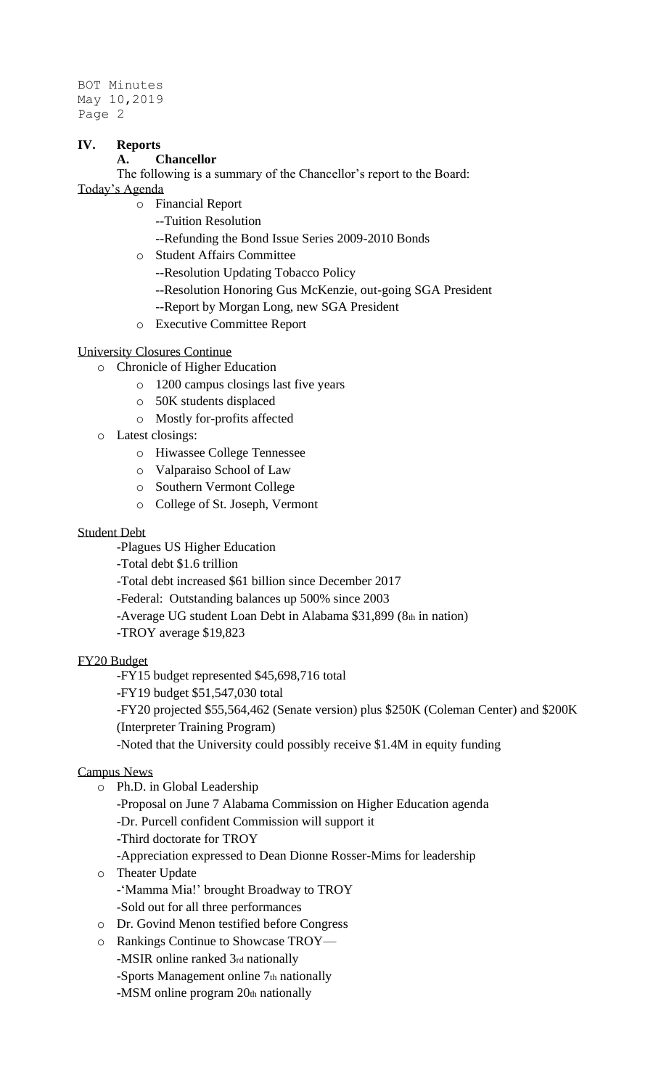## **IV. Reports**

## **A. Chancellor**

The following is a summary of the Chancellor's report to the Board:

Today's Agenda

- o Financial Report
	- --Tuition Resolution
	- --Refunding the Bond Issue Series 2009-2010 Bonds
- o Student Affairs Committee
	- --Resolution Updating Tobacco Policy
	- --Resolution Honoring Gus McKenzie, out-going SGA President
	- --Report by Morgan Long, new SGA President
- o Executive Committee Report

## University Closures Continue

- o Chronicle of Higher Education
	- o 1200 campus closings last five years
	- o 50K students displaced
	- o Mostly for-profits affected
- o Latest closings:
	- o Hiwassee College Tennessee
	- o Valparaiso School of Law
	- o Southern Vermont College
	- o College of St. Joseph, Vermont

## Student Debt

- -Plagues US Higher Education
- -Total debt \$1.6 trillion
- -Total debt increased \$61 billion since December 2017
- -Federal: Outstanding balances up 500% since 2003
- -Average UG student Loan Debt in Alabama \$31,899 (8th in nation)
- -TROY average \$19,823

## FY20 Budget

-FY15 budget represented \$45,698,716 total

- -FY19 budget \$51,547,030 total
- -FY20 projected \$55,564,462 (Senate version) plus \$250K (Coleman Center) and \$200K
- (Interpreter Training Program)
- -Noted that the University could possibly receive \$1.4M in equity funding

## Campus News

- o Ph.D. in Global Leadership
	- -Proposal on June 7 Alabama Commission on Higher Education agenda
	- -Dr. Purcell confident Commission will support it
	- -Third doctorate for TROY
	- -Appreciation expressed to Dean Dionne Rosser-Mims for leadership
- o Theater Update
	- -'Mamma Mia!' brought Broadway to TROY
	- -Sold out for all three performances
- o Dr. Govind Menon testified before Congress
- o Rankings Continue to Showcase TROY—
	- -MSIR online ranked 3rd nationally
	- -Sports Management online 7th nationally
	- -MSM online program 20th nationally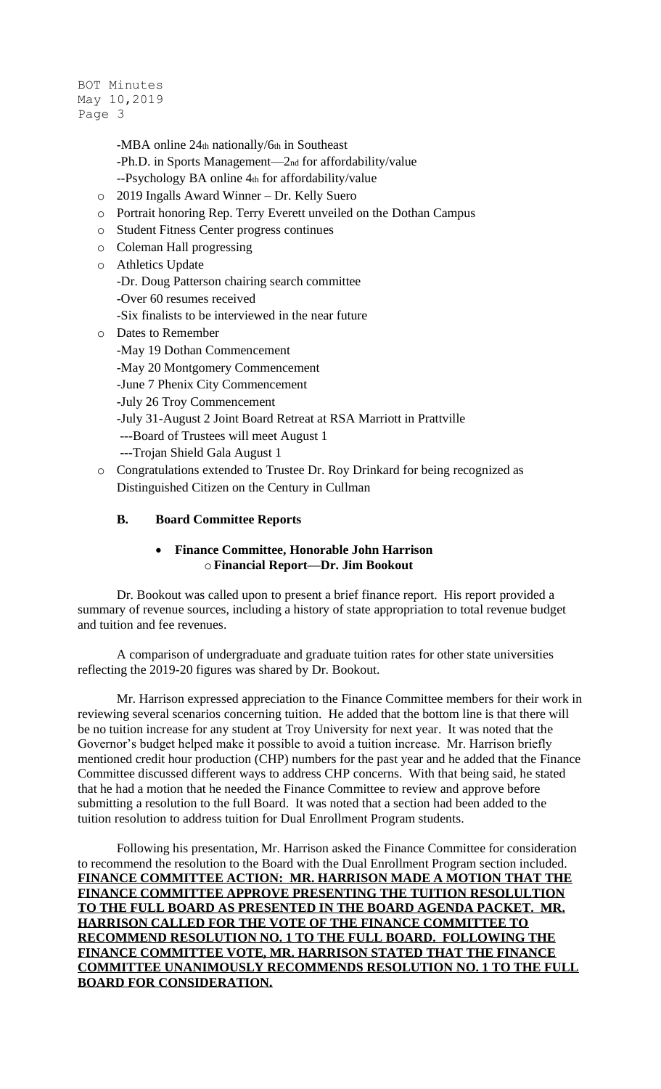```
BOT Minutes
May 10,2019
Page 3
```
- -MBA online 24th nationally/6th in Southeast
- -Ph.D. in Sports Management—2nd for affordability/value
- --Psychology BA online 4th for affordability/value
- o 2019 Ingalls Award Winner Dr. Kelly Suero
- o Portrait honoring Rep. Terry Everett unveiled on the Dothan Campus
- o Student Fitness Center progress continues
- o Coleman Hall progressing
- o Athletics Update
	- -Dr. Doug Patterson chairing search committee
	- -Over 60 resumes received
	- -Six finalists to be interviewed in the near future
- o Dates to Remember
	- -May 19 Dothan Commencement
	- -May 20 Montgomery Commencement
	- -June 7 Phenix City Commencement
	- -July 26 Troy Commencement
	- -July 31-August 2 Joint Board Retreat at RSA Marriott in Prattville
	- ---Board of Trustees will meet August 1
	- ---Trojan Shield Gala August 1
- o Congratulations extended to Trustee Dr. Roy Drinkard for being recognized as Distinguished Citizen on the Century in Cullman

## **B. Board Committee Reports**

## • **Finance Committee, Honorable John Harrison** o**Financial Report—Dr. Jim Bookout**

Dr. Bookout was called upon to present a brief finance report. His report provided a summary of revenue sources, including a history of state appropriation to total revenue budget and tuition and fee revenues.

A comparison of undergraduate and graduate tuition rates for other state universities reflecting the 2019-20 figures was shared by Dr. Bookout.

Mr. Harrison expressed appreciation to the Finance Committee members for their work in reviewing several scenarios concerning tuition. He added that the bottom line is that there will be no tuition increase for any student at Troy University for next year. It was noted that the Governor's budget helped make it possible to avoid a tuition increase. Mr. Harrison briefly mentioned credit hour production (CHP) numbers for the past year and he added that the Finance Committee discussed different ways to address CHP concerns. With that being said, he stated that he had a motion that he needed the Finance Committee to review and approve before submitting a resolution to the full Board. It was noted that a section had been added to the tuition resolution to address tuition for Dual Enrollment Program students.

Following his presentation, Mr. Harrison asked the Finance Committee for consideration to recommend the resolution to the Board with the Dual Enrollment Program section included. **FINANCE COMMITTEE ACTION: MR. HARRISON MADE A MOTION THAT THE FINANCE COMMITTEE APPROVE PRESENTING THE TUITION RESOLULTION TO THE FULL BOARD AS PRESENTED IN THE BOARD AGENDA PACKET. MR. HARRISON CALLED FOR THE VOTE OF THE FINANCE COMMITTEE TO RECOMMEND RESOLUTION NO. 1 TO THE FULL BOARD. FOLLOWING THE FINANCE COMMITTEE VOTE, MR. HARRISON STATED THAT THE FINANCE COMMITTEE UNANIMOUSLY RECOMMENDS RESOLUTION NO. 1 TO THE FULL BOARD FOR CONSIDERATION.**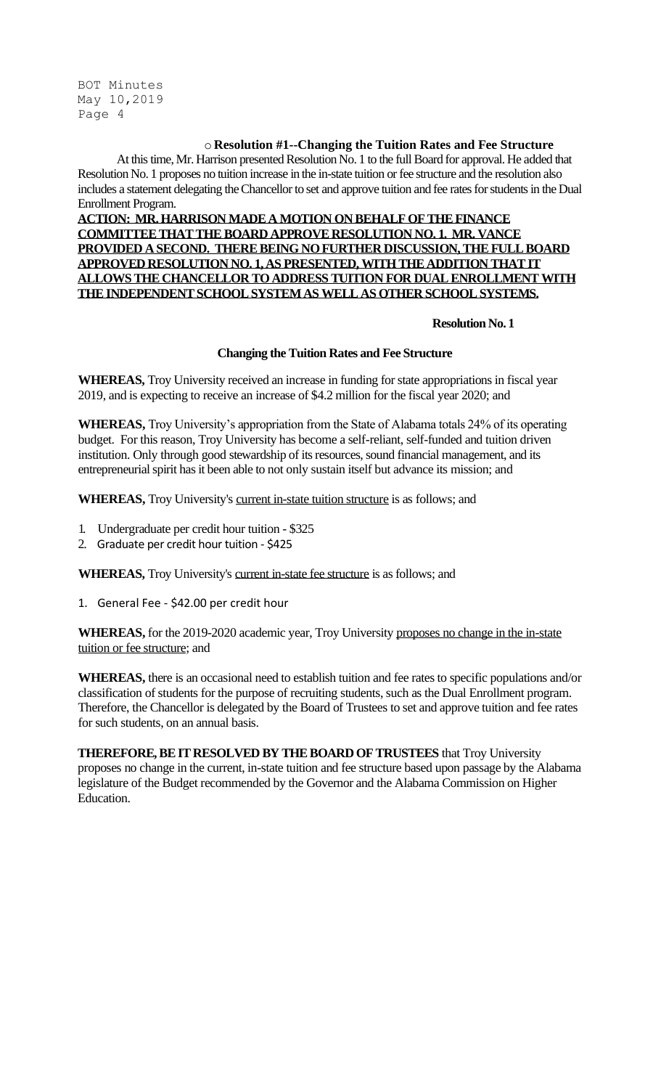## o **Resolution #1--Changing the Tuition Rates and Fee Structure**

At this time, Mr. Harrison presented Resolution No. 1 to the full Board for approval. He added that Resolution No. 1 proposes no tuition increase in the in-state tuition or fee structure and the resolution also includes a statement delegating the Chancellor to set and approve tuition and fee rates for students in the Dual Enrollment Program.

**ACTION: MR. HARRISON MADE A MOTION ON BEHALF OF THE FINANCE COMMITTEE THAT THE BOARD APPROVE RESOLUTION NO. 1. MR. VANCE PROVIDED A SECOND. THERE BEING NO FURTHER DISCUSSION, THE FULL BOARD APPROVED RESOLUTION NO. 1, AS PRESENTED,WITH THE ADDITION THAT IT ALLOWS THE CHANCELLOR TO ADDRESS TUITION FOR DUAL ENROLLMENT WITH THE INDEPENDENT SCHOOL SYSTEM AS WELL AS OTHER SCHOOL SYSTEMS.**

### **Resolution No. 1**

## **Changing the Tuition Rates and Fee Structure**

**WHEREAS,** Troy University received an increase in funding for state appropriations in fiscal year 2019, and is expecting to receive an increase of \$4.2 million for the fiscal year 2020; and

**WHEREAS,** Troy University's appropriation from the State of Alabama totals 24% of its operating budget. For this reason, Troy University has become a self-reliant, self-funded and tuition driven institution. Only through good stewardship of its resources, sound financial management, and its entrepreneurial spirit has it been able to not only sustain itself but advance its mission; and

**WHEREAS,** Troy University's current in-state tuition structure is as follows; and

- 1. Undergraduate per credit hour tuition \$325
- 2. Graduate per credit hour tuition \$425

**WHEREAS,** Troy University's current in-state fee structure is as follows; and

1. General Fee - \$42.00 per credit hour

**WHEREAS,** for the 2019-2020 academic year, Troy University proposes no change in the in-state tuition or fee structure; and

**WHEREAS,** there is an occasional need to establish tuition and fee rates to specific populations and/or classification of students for the purpose of recruiting students, such as the Dual Enrollment program. Therefore, the Chancellor is delegated by the Board of Trustees to set and approve tuition and fee rates for such students, on an annual basis.

**THEREFORE, BE IT RESOLVED BY THE BOARD OF TRUSTEES** that Troy University proposes no change in the current, in-state tuition and fee structure based upon passage by the Alabama legislature of the Budget recommended by the Governor and the Alabama Commission on Higher Education.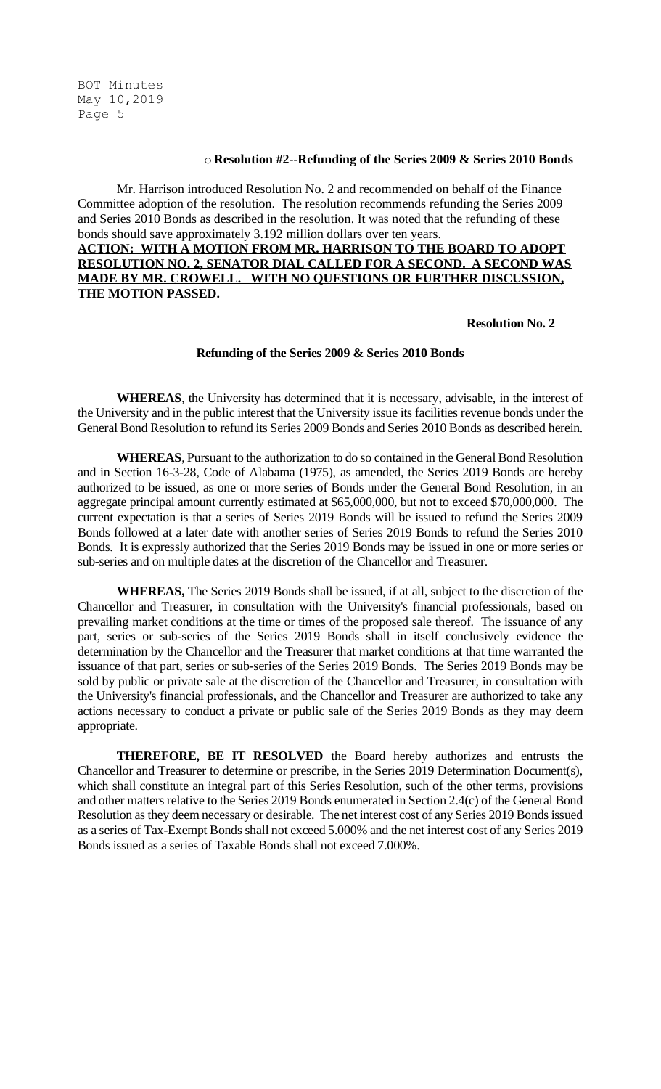#### o **Resolution #2--Refunding of the Series 2009 & Series 2010 Bonds**

Mr. Harrison introduced Resolution No. 2 and recommended on behalf of the Finance Committee adoption of the resolution. The resolution recommends refunding the Series 2009 and Series 2010 Bonds as described in the resolution. It was noted that the refunding of these bonds should save approximately 3.192 million dollars over ten years. **ACTION: WITH A MOTION FROM MR. HARRISON TO THE BOARD TO ADOPT** 

## **RESOLUTION NO. 2, SENATOR DIAL CALLED FOR A SECOND. A SECOND WAS MADE BY MR. CROWELL. WITH NO QUESTIONS OR FURTHER DISCUSSION, THE MOTION PASSED.**

#### **Resolution No. 2**

#### **Refunding of the Series 2009 & Series 2010 Bonds**

**WHEREAS**, the University has determined that it is necessary, advisable, in the interest of the University and in the public interest that the University issue its facilities revenue bonds under the General Bond Resolution to refund its Series 2009 Bonds and Series 2010 Bonds as described herein.

**WHEREAS**, Pursuant to the authorization to do so contained in the General Bond Resolution and in Section 16-3-28, Code of Alabama (1975), as amended, the Series 2019 Bonds are hereby authorized to be issued, as one or more series of Bonds under the General Bond Resolution, in an aggregate principal amount currently estimated at \$65,000,000, but not to exceed \$70,000,000. The current expectation is that a series of Series 2019 Bonds will be issued to refund the Series 2009 Bonds followed at a later date with another series of Series 2019 Bonds to refund the Series 2010 Bonds. It is expressly authorized that the Series 2019 Bonds may be issued in one or more series or sub-series and on multiple dates at the discretion of the Chancellor and Treasurer.

**WHEREAS,** The Series 2019 Bonds shall be issued, if at all, subject to the discretion of the Chancellor and Treasurer, in consultation with the University's financial professionals, based on prevailing market conditions at the time or times of the proposed sale thereof. The issuance of any part, series or sub-series of the Series 2019 Bonds shall in itself conclusively evidence the determination by the Chancellor and the Treasurer that market conditions at that time warranted the issuance of that part, series or sub-series of the Series 2019 Bonds. The Series 2019 Bonds may be sold by public or private sale at the discretion of the Chancellor and Treasurer, in consultation with the University's financial professionals, and the Chancellor and Treasurer are authorized to take any actions necessary to conduct a private or public sale of the Series 2019 Bonds as they may deem appropriate.

**THEREFORE, BE IT RESOLVED** the Board hereby authorizes and entrusts the Chancellor and Treasurer to determine or prescribe, in the Series 2019 Determination Document(s), which shall constitute an integral part of this Series Resolution, such of the other terms, provisions and other matters relative to the Series 2019 Bonds enumerated in Section 2.4(c) of the General Bond Resolution as they deem necessary or desirable. The net interest cost of any Series 2019 Bonds issued as a series of Tax-Exempt Bonds shall not exceed 5.000% and the net interest cost of any Series 2019 Bonds issued as a series of Taxable Bonds shall not exceed 7.000%.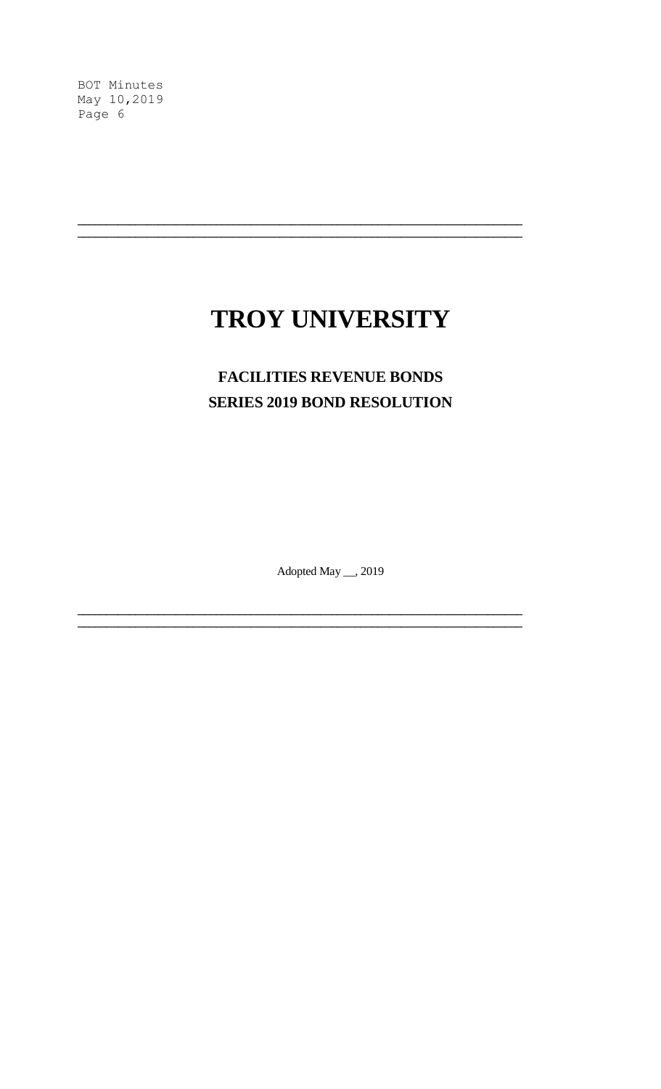# TROY UNIVERSITY

## **FACILITIES REVENUE BONDS SERIES 2019 BOND RESOLUTION**

Adopted May \_\_, 2019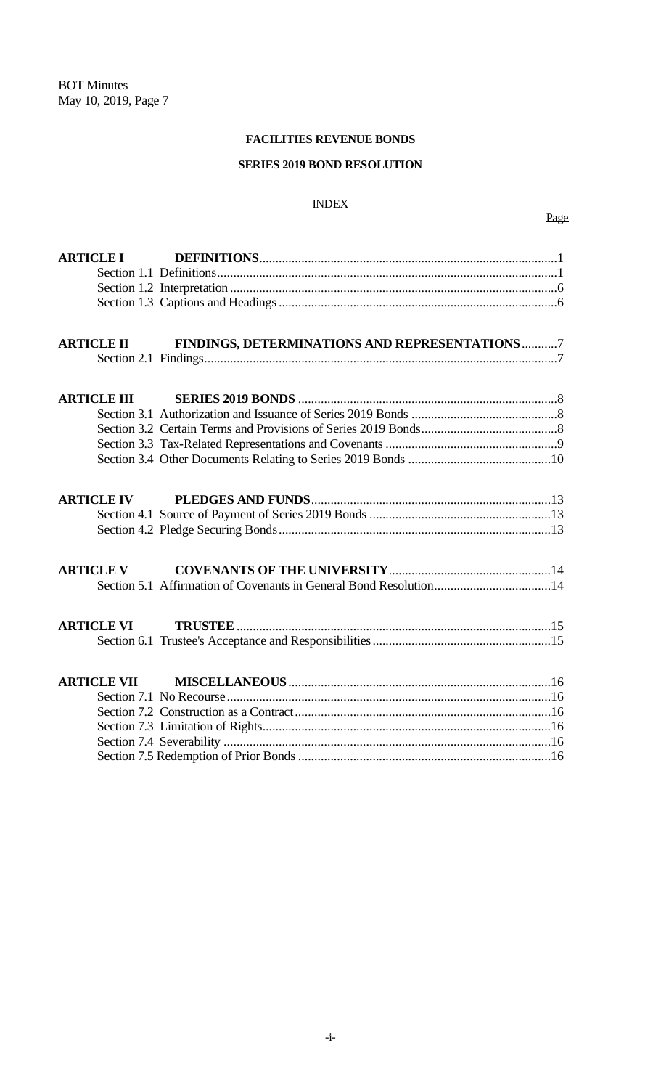## **FACILITIES REVENUE BONDS**

## **SERIES 2019 BOND RESOLUTION**

#### INDEX

| <b>ARTICLE I</b>   |                                                |
|--------------------|------------------------------------------------|
|                    |                                                |
|                    |                                                |
|                    |                                                |
|                    |                                                |
| <b>ARTICLE II</b>  | FINDINGS, DETERMINATIONS AND REPRESENTATIONS 7 |
|                    |                                                |
|                    |                                                |
| <b>ARTICLE III</b> |                                                |
|                    |                                                |
|                    |                                                |
|                    |                                                |
|                    |                                                |
| <b>ARTICLE IV</b>  |                                                |
|                    |                                                |
|                    |                                                |
| <b>ARTICLE V</b>   |                                                |
|                    |                                                |
|                    |                                                |
| <b>ARTICLE VI</b>  |                                                |
|                    |                                                |
| <b>ARTICLE VII</b> |                                                |
|                    |                                                |
|                    |                                                |
|                    |                                                |
|                    |                                                |
|                    |                                                |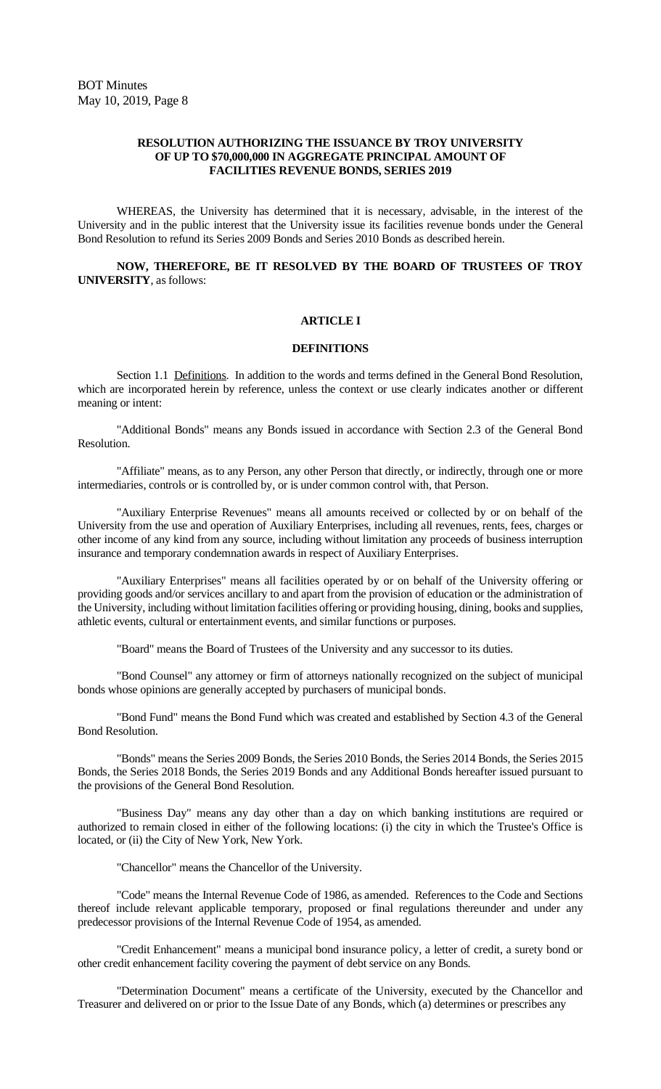#### **RESOLUTION AUTHORIZING THE ISSUANCE BY TROY UNIVERSITY OF UP TO \$70,000,000 IN AGGREGATE PRINCIPAL AMOUNT OF FACILITIES REVENUE BONDS, SERIES 2019**

WHEREAS, the University has determined that it is necessary, advisable, in the interest of the University and in the public interest that the University issue its facilities revenue bonds under the General Bond Resolution to refund its Series 2009 Bonds and Series 2010 Bonds as described herein.

**NOW, THEREFORE, BE IT RESOLVED BY THE BOARD OF TRUSTEES OF TROY UNIVERSITY**, as follows:

#### **ARTICLE I**

#### **DEFINITIONS**

Section 1.1 Definitions. In addition to the words and terms defined in the General Bond Resolution, which are incorporated herein by reference, unless the context or use clearly indicates another or different meaning or intent:

"Additional Bonds" means any Bonds issued in accordance with Section 2.3 of the General Bond Resolution.

"Affiliate" means, as to any Person, any other Person that directly, or indirectly, through one or more intermediaries, controls or is controlled by, or is under common control with, that Person.

"Auxiliary Enterprise Revenues" means all amounts received or collected by or on behalf of the University from the use and operation of Auxiliary Enterprises, including all revenues, rents, fees, charges or other income of any kind from any source, including without limitation any proceeds of business interruption insurance and temporary condemnation awards in respect of Auxiliary Enterprises.

"Auxiliary Enterprises" means all facilities operated by or on behalf of the University offering or providing goods and/or services ancillary to and apart from the provision of education or the administration of the University, including without limitation facilities offering or providing housing, dining, books and supplies, athletic events, cultural or entertainment events, and similar functions or purposes.

"Board" means the Board of Trustees of the University and any successor to its duties.

"Bond Counsel" any attorney or firm of attorneys nationally recognized on the subject of municipal bonds whose opinions are generally accepted by purchasers of municipal bonds.

"Bond Fund" means the Bond Fund which was created and established by Section 4.3 of the General Bond Resolution.

"Bonds" means the Series 2009 Bonds, the Series 2010 Bonds, the Series 2014 Bonds, the Series 2015 Bonds, the Series 2018 Bonds, the Series 2019 Bonds and any Additional Bonds hereafter issued pursuant to the provisions of the General Bond Resolution.

"Business Day" means any day other than a day on which banking institutions are required or authorized to remain closed in either of the following locations: (i) the city in which the Trustee's Office is located, or (ii) the City of New York, New York.

"Chancellor" means the Chancellor of the University.

"Code" means the Internal Revenue Code of 1986, as amended. References to the Code and Sections thereof include relevant applicable temporary, proposed or final regulations thereunder and under any predecessor provisions of the Internal Revenue Code of 1954, as amended.

"Credit Enhancement" means a municipal bond insurance policy, a letter of credit, a surety bond or other credit enhancement facility covering the payment of debt service on any Bonds.

"Determination Document" means a certificate of the University, executed by the Chancellor and Treasurer and delivered on or prior to the Issue Date of any Bonds, which (a) determines or prescribes any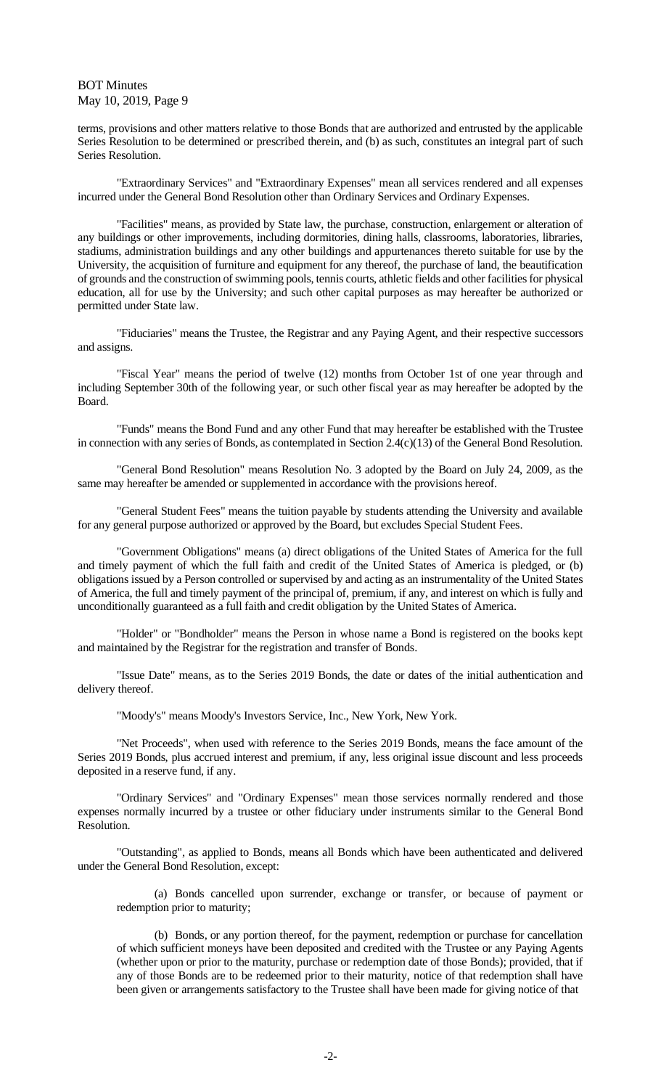terms, provisions and other matters relative to those Bonds that are authorized and entrusted by the applicable Series Resolution to be determined or prescribed therein, and (b) as such, constitutes an integral part of such Series Resolution.

"Extraordinary Services" and "Extraordinary Expenses" mean all services rendered and all expenses incurred under the General Bond Resolution other than Ordinary Services and Ordinary Expenses.

"Facilities" means, as provided by State law, the purchase, construction, enlargement or alteration of any buildings or other improvements, including dormitories, dining halls, classrooms, laboratories, libraries, stadiums, administration buildings and any other buildings and appurtenances thereto suitable for use by the University, the acquisition of furniture and equipment for any thereof, the purchase of land, the beautification of grounds and the construction of swimming pools, tennis courts, athletic fields and other facilities for physical education, all for use by the University; and such other capital purposes as may hereafter be authorized or permitted under State law.

"Fiduciaries" means the Trustee, the Registrar and any Paying Agent, and their respective successors and assigns.

"Fiscal Year" means the period of twelve (12) months from October 1st of one year through and including September 30th of the following year, or such other fiscal year as may hereafter be adopted by the Board.

"Funds" means the Bond Fund and any other Fund that may hereafter be established with the Trustee in connection with any series of Bonds, as contemplated in Section 2.4(c)(13) of the General Bond Resolution.

"General Bond Resolution" means Resolution No. 3 adopted by the Board on July 24, 2009, as the same may hereafter be amended or supplemented in accordance with the provisions hereof.

"General Student Fees" means the tuition payable by students attending the University and available for any general purpose authorized or approved by the Board, but excludes Special Student Fees.

"Government Obligations" means (a) direct obligations of the United States of America for the full and timely payment of which the full faith and credit of the United States of America is pledged, or (b) obligations issued by a Person controlled or supervised by and acting as an instrumentality of the United States of America, the full and timely payment of the principal of, premium, if any, and interest on which is fully and unconditionally guaranteed as a full faith and credit obligation by the United States of America.

"Holder" or "Bondholder" means the Person in whose name a Bond is registered on the books kept and maintained by the Registrar for the registration and transfer of Bonds.

"Issue Date" means, as to the Series 2019 Bonds, the date or dates of the initial authentication and delivery thereof.

"Moody's" means Moody's Investors Service, Inc., New York, New York.

"Net Proceeds", when used with reference to the Series 2019 Bonds, means the face amount of the Series 2019 Bonds, plus accrued interest and premium, if any, less original issue discount and less proceeds deposited in a reserve fund, if any.

"Ordinary Services" and "Ordinary Expenses" mean those services normally rendered and those expenses normally incurred by a trustee or other fiduciary under instruments similar to the General Bond Resolution.

"Outstanding", as applied to Bonds, means all Bonds which have been authenticated and delivered under the General Bond Resolution, except:

(a) Bonds cancelled upon surrender, exchange or transfer, or because of payment or redemption prior to maturity;

(b) Bonds, or any portion thereof, for the payment, redemption or purchase for cancellation of which sufficient moneys have been deposited and credited with the Trustee or any Paying Agents (whether upon or prior to the maturity, purchase or redemption date of those Bonds); provided, that if any of those Bonds are to be redeemed prior to their maturity, notice of that redemption shall have been given or arrangements satisfactory to the Trustee shall have been made for giving notice of that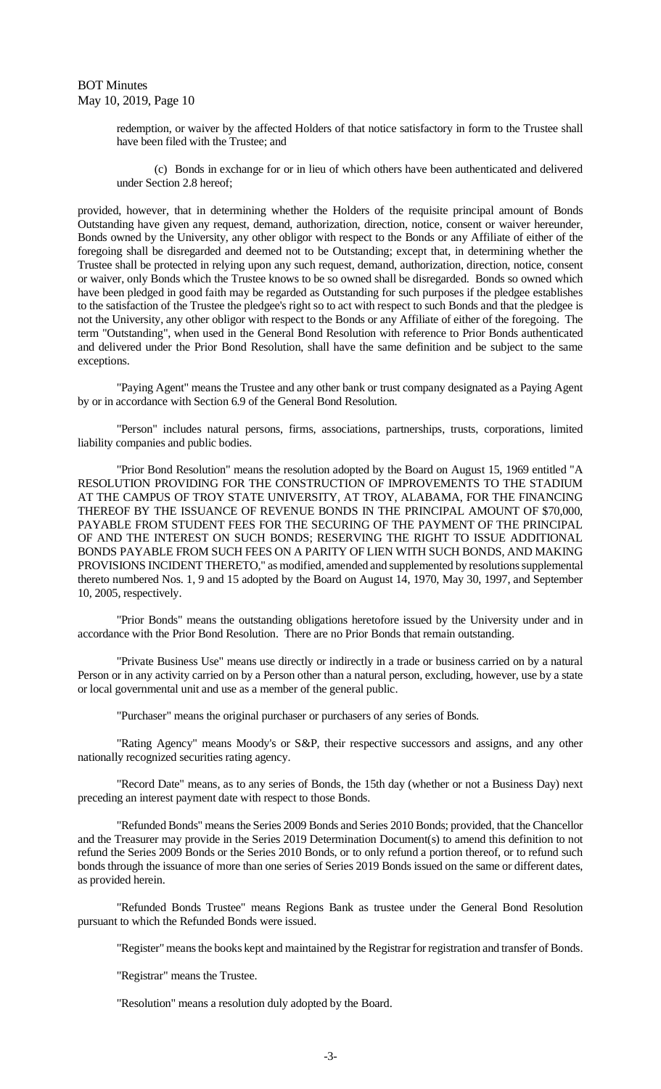> redemption, or waiver by the affected Holders of that notice satisfactory in form to the Trustee shall have been filed with the Trustee; and

> (c) Bonds in exchange for or in lieu of which others have been authenticated and delivered under Section 2.8 hereof;

provided, however, that in determining whether the Holders of the requisite principal amount of Bonds Outstanding have given any request, demand, authorization, direction, notice, consent or waiver hereunder, Bonds owned by the University, any other obligor with respect to the Bonds or any Affiliate of either of the foregoing shall be disregarded and deemed not to be Outstanding; except that, in determining whether the Trustee shall be protected in relying upon any such request, demand, authorization, direction, notice, consent or waiver, only Bonds which the Trustee knows to be so owned shall be disregarded. Bonds so owned which have been pledged in good faith may be regarded as Outstanding for such purposes if the pledgee establishes to the satisfaction of the Trustee the pledgee's right so to act with respect to such Bonds and that the pledgee is not the University, any other obligor with respect to the Bonds or any Affiliate of either of the foregoing. The term "Outstanding", when used in the General Bond Resolution with reference to Prior Bonds authenticated and delivered under the Prior Bond Resolution, shall have the same definition and be subject to the same exceptions.

"Paying Agent" means the Trustee and any other bank or trust company designated as a Paying Agent by or in accordance with Section 6.9 of the General Bond Resolution.

"Person" includes natural persons, firms, associations, partnerships, trusts, corporations, limited liability companies and public bodies.

"Prior Bond Resolution" means the resolution adopted by the Board on August 15, 1969 entitled "A RESOLUTION PROVIDING FOR THE CONSTRUCTION OF IMPROVEMENTS TO THE STADIUM AT THE CAMPUS OF TROY STATE UNIVERSITY, AT TROY, ALABAMA, FOR THE FINANCING THEREOF BY THE ISSUANCE OF REVENUE BONDS IN THE PRINCIPAL AMOUNT OF \$70,000, PAYABLE FROM STUDENT FEES FOR THE SECURING OF THE PAYMENT OF THE PRINCIPAL OF AND THE INTEREST ON SUCH BONDS; RESERVING THE RIGHT TO ISSUE ADDITIONAL BONDS PAYABLE FROM SUCH FEES ON A PARITY OF LIEN WITH SUCH BONDS, AND MAKING PROVISIONS INCIDENT THERETO," as modified, amended and supplemented by resolutions supplemental thereto numbered Nos. 1, 9 and 15 adopted by the Board on August 14, 1970, May 30, 1997, and September 10, 2005, respectively.

"Prior Bonds" means the outstanding obligations heretofore issued by the University under and in accordance with the Prior Bond Resolution. There are no Prior Bonds that remain outstanding.

"Private Business Use" means use directly or indirectly in a trade or business carried on by a natural Person or in any activity carried on by a Person other than a natural person, excluding, however, use by a state or local governmental unit and use as a member of the general public.

"Purchaser" means the original purchaser or purchasers of any series of Bonds.

"Rating Agency" means Moody's or S&P, their respective successors and assigns, and any other nationally recognized securities rating agency.

"Record Date" means, as to any series of Bonds, the 15th day (whether or not a Business Day) next preceding an interest payment date with respect to those Bonds.

"Refunded Bonds" means the Series 2009 Bonds and Series 2010 Bonds; provided, that the Chancellor and the Treasurer may provide in the Series 2019 Determination Document(s) to amend this definition to not refund the Series 2009 Bonds or the Series 2010 Bonds, or to only refund a portion thereof, or to refund such bonds through the issuance of more than one series of Series 2019 Bonds issued on the same or different dates, as provided herein.

"Refunded Bonds Trustee" means Regions Bank as trustee under the General Bond Resolution pursuant to which the Refunded Bonds were issued.

"Register" means the books kept and maintained by the Registrar for registration and transfer of Bonds.

"Registrar" means the Trustee.

"Resolution" means a resolution duly adopted by the Board.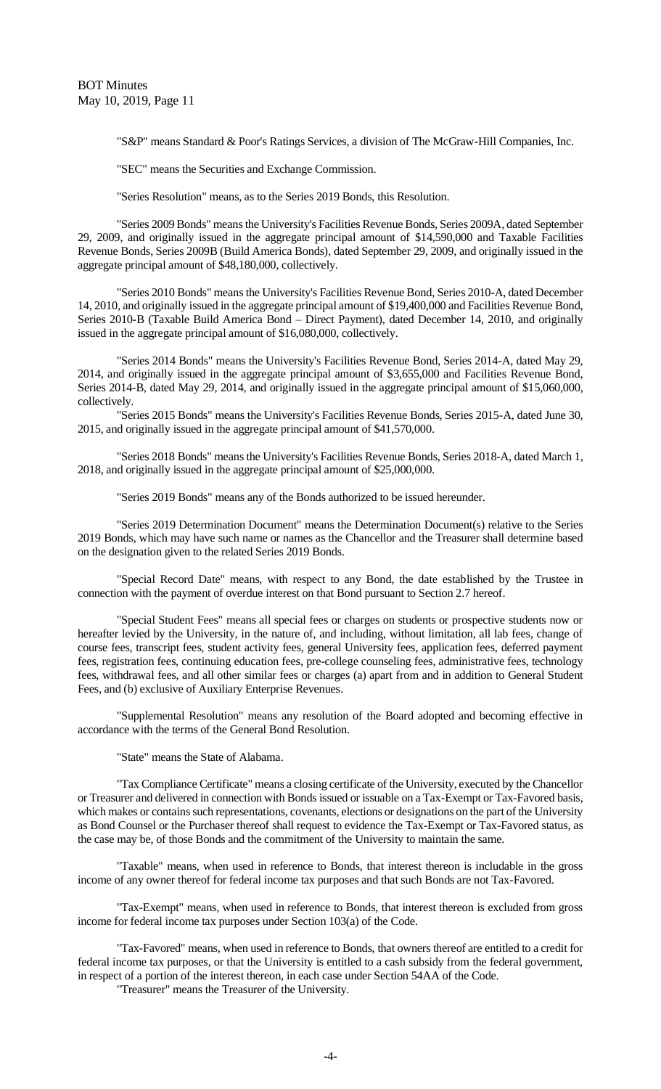"S&P" means Standard & Poor's Ratings Services, a division of The McGraw-Hill Companies, Inc.

"SEC" means the Securities and Exchange Commission.

"Series Resolution" means, as to the Series 2019 Bonds, this Resolution.

"Series 2009 Bonds" means the University's Facilities Revenue Bonds, Series 2009A, dated September 29, 2009, and originally issued in the aggregate principal amount of \$14,590,000 and Taxable Facilities Revenue Bonds, Series 2009B (Build America Bonds), dated September 29, 2009, and originally issued in the aggregate principal amount of \$48,180,000, collectively.

"Series 2010 Bonds" means the University's Facilities Revenue Bond, Series 2010-A, dated December 14, 2010, and originally issued in the aggregate principal amount of \$19,400,000 and Facilities Revenue Bond, Series 2010-B (Taxable Build America Bond – Direct Payment), dated December 14, 2010, and originally issued in the aggregate principal amount of \$16,080,000, collectively.

"Series 2014 Bonds" means the University's Facilities Revenue Bond, Series 2014-A, dated May 29, 2014, and originally issued in the aggregate principal amount of \$3,655,000 and Facilities Revenue Bond, Series 2014-B, dated May 29, 2014, and originally issued in the aggregate principal amount of \$15,060,000, collectively.

"Series 2015 Bonds" means the University's Facilities Revenue Bonds, Series 2015-A, dated June 30, 2015, and originally issued in the aggregate principal amount of \$41,570,000.

"Series 2018 Bonds" means the University's Facilities Revenue Bonds, Series 2018-A, dated March 1, 2018, and originally issued in the aggregate principal amount of \$25,000,000.

"Series 2019 Bonds" means any of the Bonds authorized to be issued hereunder.

"Series 2019 Determination Document" means the Determination Document(s) relative to the Series 2019 Bonds, which may have such name or names as the Chancellor and the Treasurer shall determine based on the designation given to the related Series 2019 Bonds.

"Special Record Date" means, with respect to any Bond, the date established by the Trustee in connection with the payment of overdue interest on that Bond pursuant to Section 2.7 hereof.

"Special Student Fees" means all special fees or charges on students or prospective students now or hereafter levied by the University, in the nature of, and including, without limitation, all lab fees, change of course fees, transcript fees, student activity fees, general University fees, application fees, deferred payment fees, registration fees, continuing education fees, pre-college counseling fees, administrative fees, technology fees, withdrawal fees, and all other similar fees or charges (a) apart from and in addition to General Student Fees, and (b) exclusive of Auxiliary Enterprise Revenues.

"Supplemental Resolution" means any resolution of the Board adopted and becoming effective in accordance with the terms of the General Bond Resolution.

"State" means the State of Alabama.

"Tax Compliance Certificate" means a closing certificate of the University, executed by the Chancellor or Treasurer and delivered in connection with Bonds issued or issuable on a Tax-Exempt or Tax-Favored basis, which makes or contains such representations, covenants, elections or designations on the part of the University as Bond Counsel or the Purchaser thereof shall request to evidence the Tax-Exempt or Tax-Favored status, as the case may be, of those Bonds and the commitment of the University to maintain the same.

"Taxable" means, when used in reference to Bonds, that interest thereon is includable in the gross income of any owner thereof for federal income tax purposes and that such Bonds are not Tax-Favored.

"Tax-Exempt" means, when used in reference to Bonds, that interest thereon is excluded from gross income for federal income tax purposes under Section 103(a) of the Code.

"Tax-Favored" means, when used in reference to Bonds, that owners thereof are entitled to a credit for federal income tax purposes, or that the University is entitled to a cash subsidy from the federal government, in respect of a portion of the interest thereon, in each case under Section 54AA of the Code.

"Treasurer" means the Treasurer of the University.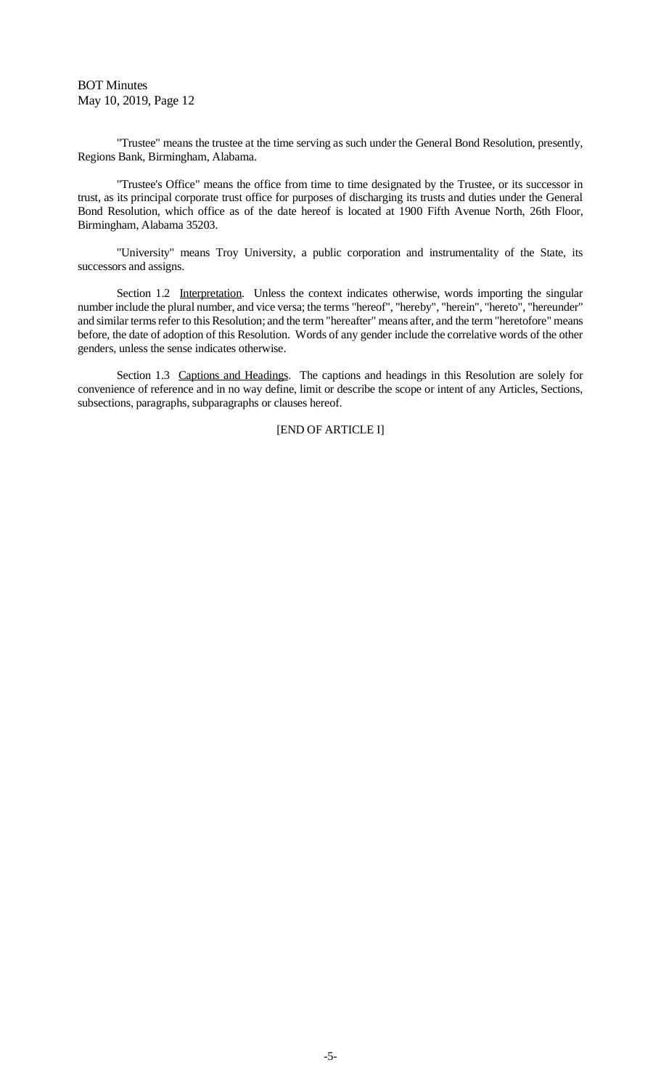"Trustee" means the trustee at the time serving as such under the General Bond Resolution, presently, Regions Bank, Birmingham, Alabama.

"Trustee's Office" means the office from time to time designated by the Trustee, or its successor in trust, as its principal corporate trust office for purposes of discharging its trusts and duties under the General Bond Resolution, which office as of the date hereof is located at 1900 Fifth Avenue North, 26th Floor, Birmingham, Alabama 35203.

"University" means Troy University, a public corporation and instrumentality of the State, its successors and assigns.

Section 1.2 Interpretation. Unless the context indicates otherwise, words importing the singular number include the plural number, and vice versa; the terms "hereof", "hereby", "herein", "hereto", "hereunder" and similar terms refer to this Resolution; and the term "hereafter" means after, and the term "heretofore" means before, the date of adoption of this Resolution. Words of any gender include the correlative words of the other genders, unless the sense indicates otherwise.

Section 1.3 Captions and Headings. The captions and headings in this Resolution are solely for convenience of reference and in no way define, limit or describe the scope or intent of any Articles, Sections, subsections, paragraphs, subparagraphs or clauses hereof.

## [END OF ARTICLE I]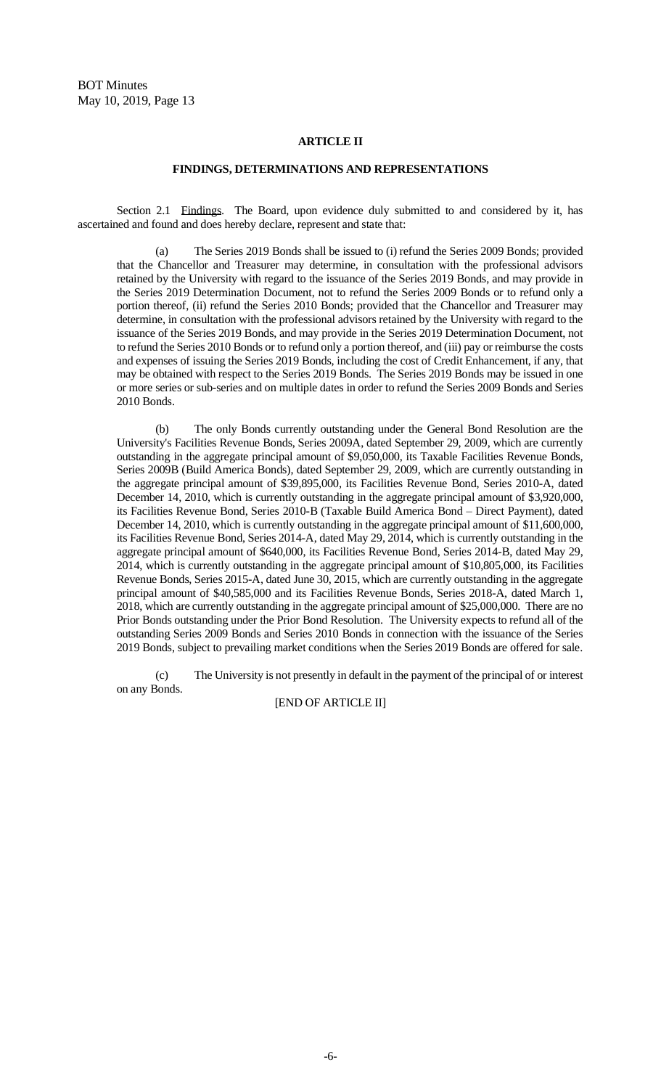#### **ARTICLE II**

#### **FINDINGS, DETERMINATIONS AND REPRESENTATIONS**

Section 2.1 Findings. The Board, upon evidence duly submitted to and considered by it, has ascertained and found and does hereby declare, represent and state that:

(a) The Series 2019 Bonds shall be issued to (i) refund the Series 2009 Bonds; provided that the Chancellor and Treasurer may determine, in consultation with the professional advisors retained by the University with regard to the issuance of the Series 2019 Bonds, and may provide in the Series 2019 Determination Document, not to refund the Series 2009 Bonds or to refund only a portion thereof, (ii) refund the Series 2010 Bonds; provided that the Chancellor and Treasurer may determine, in consultation with the professional advisors retained by the University with regard to the issuance of the Series 2019 Bonds, and may provide in the Series 2019 Determination Document, not to refund the Series 2010 Bonds or to refund only a portion thereof, and (iii) pay or reimburse the costs and expenses of issuing the Series 2019 Bonds, including the cost of Credit Enhancement, if any, that may be obtained with respect to the Series 2019 Bonds. The Series 2019 Bonds may be issued in one or more series or sub-series and on multiple dates in order to refund the Series 2009 Bonds and Series 2010 Bonds.

(b) The only Bonds currently outstanding under the General Bond Resolution are the University's Facilities Revenue Bonds, Series 2009A, dated September 29, 2009, which are currently outstanding in the aggregate principal amount of \$9,050,000, its Taxable Facilities Revenue Bonds, Series 2009B (Build America Bonds), dated September 29, 2009, which are currently outstanding in the aggregate principal amount of \$39,895,000, its Facilities Revenue Bond, Series 2010-A, dated December 14, 2010, which is currently outstanding in the aggregate principal amount of \$3,920,000, its Facilities Revenue Bond, Series 2010-B (Taxable Build America Bond – Direct Payment), dated December 14, 2010, which is currently outstanding in the aggregate principal amount of \$11,600,000, its Facilities Revenue Bond, Series 2014-A, dated May 29, 2014, which is currently outstanding in the aggregate principal amount of \$640,000, its Facilities Revenue Bond, Series 2014-B, dated May 29, 2014, which is currently outstanding in the aggregate principal amount of \$10,805,000, its Facilities Revenue Bonds, Series 2015-A, dated June 30, 2015, which are currently outstanding in the aggregate principal amount of \$40,585,000 and its Facilities Revenue Bonds, Series 2018-A, dated March 1, 2018, which are currently outstanding in the aggregate principal amount of \$25,000,000. There are no Prior Bonds outstanding under the Prior Bond Resolution. The University expects to refund all of the outstanding Series 2009 Bonds and Series 2010 Bonds in connection with the issuance of the Series 2019 Bonds, subject to prevailing market conditions when the Series 2019 Bonds are offered for sale.

(c) The University is not presently in default in the payment of the principal of or interest on any Bonds.

#### [END OF ARTICLE II]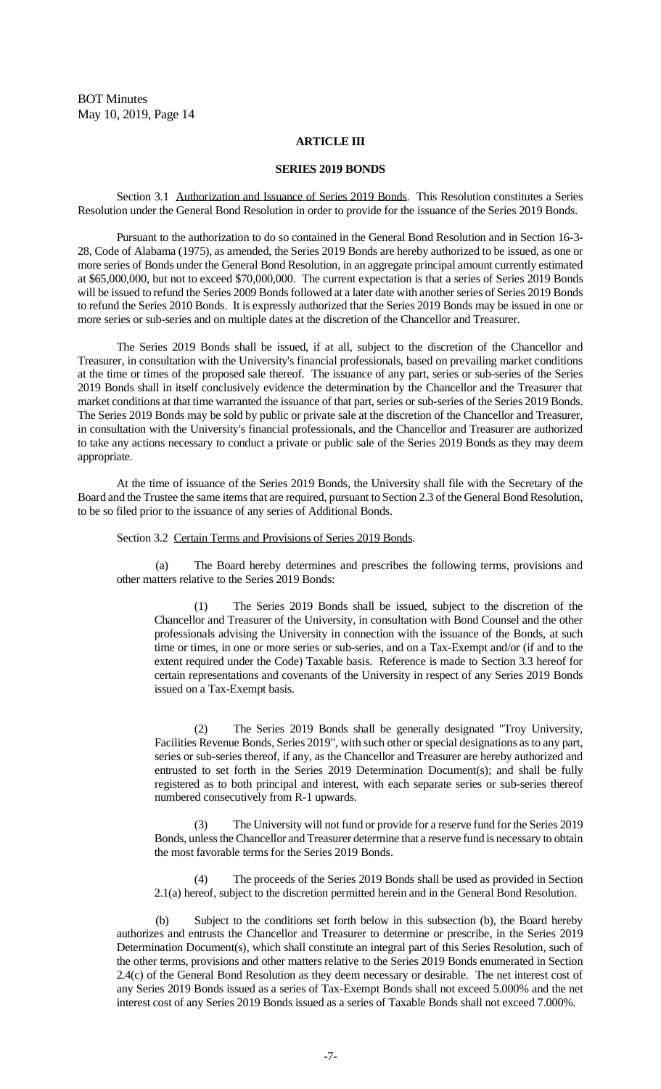#### **ARTICLE III**

#### **SERIES 2019 BONDS**

Section 3.1 Authorization and Issuance of Series 2019 Bonds. This Resolution constitutes a Series Resolution under the General Bond Resolution in order to provide for the issuance of the Series 2019 Bonds.

Pursuant to the authorization to do so contained in the General Bond Resolution and in Section 16-3- 28, Code of Alabama (1975), as amended, the Series 2019 Bonds are hereby authorized to be issued, as one or more series of Bonds under the General Bond Resolution, in an aggregate principal amount currently estimated at \$65,000,000, but not to exceed \$70,000,000. The current expectation is that a series of Series 2019 Bonds will be issued to refund the Series 2009 Bonds followed at a later date with another series of Series 2019 Bonds to refund the Series 2010 Bonds. It is expressly authorized that the Series 2019 Bonds may be issued in one or more series or sub-series and on multiple dates at the discretion of the Chancellor and Treasurer.

The Series 2019 Bonds shall be issued, if at all, subject to the discretion of the Chancellor and Treasurer, in consultation with the University's financial professionals, based on prevailing market conditions at the time or times of the proposed sale thereof. The issuance of any part, series or sub-series of the Series 2019 Bonds shall in itself conclusively evidence the determination by the Chancellor and the Treasurer that market conditions at that time warranted the issuance of that part, series or sub-series of the Series 2019 Bonds. The Series 2019 Bonds may be sold by public or private sale at the discretion of the Chancellor and Treasurer, in consultation with the University's financial professionals, and the Chancellor and Treasurer are authorized to take any actions necessary to conduct a private or public sale of the Series 2019 Bonds as they may deem appropriate.

At the time of issuance of the Series 2019 Bonds, the University shall file with the Secretary of the Board and the Trustee the same items that are required, pursuant to Section 2.3 of the General Bond Resolution, to be so filed prior to the issuance of any series of Additional Bonds.

#### Section 3.2 Certain Terms and Provisions of Series 2019 Bonds.

(a) The Board hereby determines and prescribes the following terms, provisions and other matters relative to the Series 2019 Bonds:

(1) The Series 2019 Bonds shall be issued, subject to the discretion of the Chancellor and Treasurer of the University, in consultation with Bond Counsel and the other professionals advising the University in connection with the issuance of the Bonds, at such time or times, in one or more series or sub-series, and on a Tax-Exempt and/or (if and to the extent required under the Code) Taxable basis. Reference is made to Section 3.3 hereof for certain representations and covenants of the University in respect of any Series 2019 Bonds issued on a Tax-Exempt basis.

(2) The Series 2019 Bonds shall be generally designated "Troy University, Facilities Revenue Bonds, Series 2019", with such other or special designations as to any part, series or sub-series thereof, if any, as the Chancellor and Treasurer are hereby authorized and entrusted to set forth in the Series 2019 Determination Document(s); and shall be fully registered as to both principal and interest, with each separate series or sub-series thereof numbered consecutively from R-1 upwards.

The University will not fund or provide for a reserve fund for the Series 2019 Bonds, unless the Chancellor and Treasurer determine that a reserve fund is necessary to obtain the most favorable terms for the Series 2019 Bonds.

(4) The proceeds of the Series 2019 Bonds shall be used as provided in Section 2.1(a) hereof, subject to the discretion permitted herein and in the General Bond Resolution.

Subject to the conditions set forth below in this subsection (b), the Board hereby authorizes and entrusts the Chancellor and Treasurer to determine or prescribe, in the Series 2019 Determination Document(s), which shall constitute an integral part of this Series Resolution, such of the other terms, provisions and other matters relative to the Series 2019 Bonds enumerated in Section 2.4(c) of the General Bond Resolution as they deem necessary or desirable. The net interest cost of any Series 2019 Bonds issued as a series of Tax-Exempt Bonds shall not exceed 5.000% and the net interest cost of any Series 2019 Bonds issued as a series of Taxable Bonds shall not exceed 7.000%.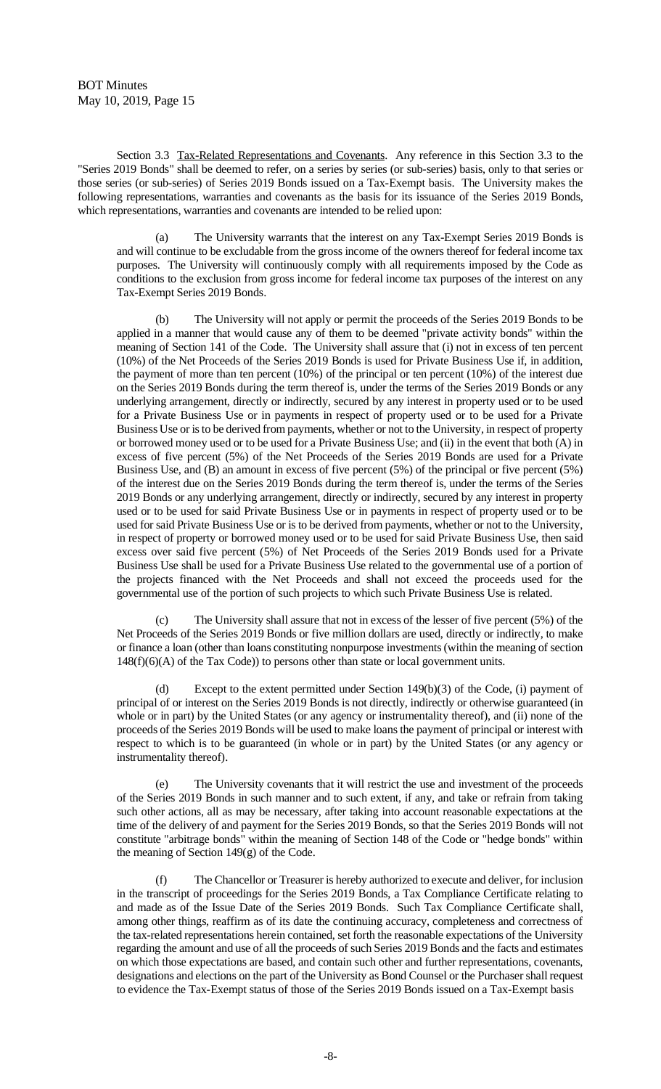Section 3.3 Tax-Related Representations and Covenants. Any reference in this Section 3.3 to the "Series 2019 Bonds" shall be deemed to refer, on a series by series (or sub-series) basis, only to that series or those series (or sub-series) of Series 2019 Bonds issued on a Tax-Exempt basis. The University makes the following representations, warranties and covenants as the basis for its issuance of the Series 2019 Bonds, which representations, warranties and covenants are intended to be relied upon:

(a) The University warrants that the interest on any Tax-Exempt Series 2019 Bonds is and will continue to be excludable from the gross income of the owners thereof for federal income tax purposes. The University will continuously comply with all requirements imposed by the Code as conditions to the exclusion from gross income for federal income tax purposes of the interest on any Tax-Exempt Series 2019 Bonds.

The University will not apply or permit the proceeds of the Series 2019 Bonds to be applied in a manner that would cause any of them to be deemed "private activity bonds" within the meaning of Section 141 of the Code. The University shall assure that (i) not in excess of ten percent (10%) of the Net Proceeds of the Series 2019 Bonds is used for Private Business Use if, in addition, the payment of more than ten percent (10%) of the principal or ten percent (10%) of the interest due on the Series 2019 Bonds during the term thereof is, under the terms of the Series 2019 Bonds or any underlying arrangement, directly or indirectly, secured by any interest in property used or to be used for a Private Business Use or in payments in respect of property used or to be used for a Private Business Use or is to be derived from payments, whether or not to the University, in respect of property or borrowed money used or to be used for a Private Business Use; and (ii) in the event that both (A) in excess of five percent (5%) of the Net Proceeds of the Series 2019 Bonds are used for a Private Business Use, and (B) an amount in excess of five percent (5%) of the principal or five percent (5%) of the interest due on the Series 2019 Bonds during the term thereof is, under the terms of the Series 2019 Bonds or any underlying arrangement, directly or indirectly, secured by any interest in property used or to be used for said Private Business Use or in payments in respect of property used or to be used for said Private Business Use or is to be derived from payments, whether or not to the University, in respect of property or borrowed money used or to be used for said Private Business Use, then said excess over said five percent (5%) of Net Proceeds of the Series 2019 Bonds used for a Private Business Use shall be used for a Private Business Use related to the governmental use of a portion of the projects financed with the Net Proceeds and shall not exceed the proceeds used for the governmental use of the portion of such projects to which such Private Business Use is related.

The University shall assure that not in excess of the lesser of five percent  $(5%)$  of the Net Proceeds of the Series 2019 Bonds or five million dollars are used, directly or indirectly, to make or finance a loan (other than loans constituting nonpurpose investments (within the meaning of section 148(f)(6)(A) of the Tax Code)) to persons other than state or local government units.

Except to the extent permitted under Section  $149(b)(3)$  of the Code, (i) payment of principal of or interest on the Series 2019 Bonds is not directly, indirectly or otherwise guaranteed (in whole or in part) by the United States (or any agency or instrumentality thereof), and (ii) none of the proceeds of the Series 2019 Bonds will be used to make loans the payment of principal or interest with respect to which is to be guaranteed (in whole or in part) by the United States (or any agency or instrumentality thereof).

(e) The University covenants that it will restrict the use and investment of the proceeds of the Series 2019 Bonds in such manner and to such extent, if any, and take or refrain from taking such other actions, all as may be necessary, after taking into account reasonable expectations at the time of the delivery of and payment for the Series 2019 Bonds, so that the Series 2019 Bonds will not constitute "arbitrage bonds" within the meaning of Section 148 of the Code or "hedge bonds" within the meaning of Section 149(g) of the Code.

(f) The Chancellor or Treasurer is hereby authorized to execute and deliver, for inclusion in the transcript of proceedings for the Series 2019 Bonds, a Tax Compliance Certificate relating to and made as of the Issue Date of the Series 2019 Bonds. Such Tax Compliance Certificate shall, among other things, reaffirm as of its date the continuing accuracy, completeness and correctness of the tax-related representations herein contained, set forth the reasonable expectations of the University regarding the amount and use of all the proceeds of such Series 2019 Bonds and the facts and estimates on which those expectations are based, and contain such other and further representations, covenants, designations and elections on the part of the University as Bond Counsel or the Purchaser shall request to evidence the Tax-Exempt status of those of the Series 2019 Bonds issued on a Tax-Exempt basis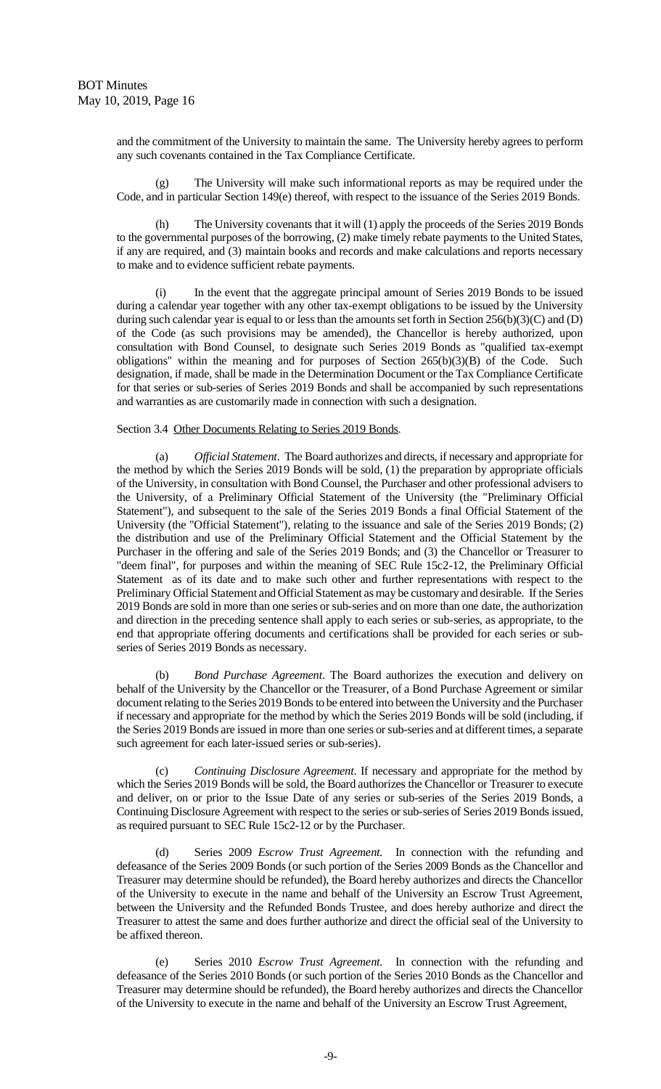and the commitment of the University to maintain the same. The University hereby agrees to perform any such covenants contained in the Tax Compliance Certificate.

(g) The University will make such informational reports as may be required under the Code, and in particular Section 149(e) thereof, with respect to the issuance of the Series 2019 Bonds.

The University covenants that it will (1) apply the proceeds of the Series 2019 Bonds to the governmental purposes of the borrowing, (2) make timely rebate payments to the United States, if any are required, and (3) maintain books and records and make calculations and reports necessary to make and to evidence sufficient rebate payments.

(i) In the event that the aggregate principal amount of Series 2019 Bonds to be issued during a calendar year together with any other tax-exempt obligations to be issued by the University during such calendar year is equal to or less than the amounts set forth in Section  $256(b)(3)(C)$  and (D) of the Code (as such provisions may be amended), the Chancellor is hereby authorized, upon consultation with Bond Counsel, to designate such Series 2019 Bonds as "qualified tax-exempt obligations" within the meaning and for purposes of Section 265(b)(3)(B) of the Code. Such designation, if made, shall be made in the Determination Document or the Tax Compliance Certificate for that series or sub-series of Series 2019 Bonds and shall be accompanied by such representations and warranties as are customarily made in connection with such a designation.

#### Section 3.4 Other Documents Relating to Series 2019 Bonds.

(a) *Official Statement*. The Board authorizes and directs, if necessary and appropriate for the method by which the Series 2019 Bonds will be sold, (1) the preparation by appropriate officials of the University, in consultation with Bond Counsel, the Purchaser and other professional advisers to the University, of a Preliminary Official Statement of the University (the "Preliminary Official Statement"), and subsequent to the sale of the Series 2019 Bonds a final Official Statement of the University (the "Official Statement"), relating to the issuance and sale of the Series 2019 Bonds; (2) the distribution and use of the Preliminary Official Statement and the Official Statement by the Purchaser in the offering and sale of the Series 2019 Bonds; and (3) the Chancellor or Treasurer to "deem final", for purposes and within the meaning of SEC Rule 15c2-12, the Preliminary Official Statement as of its date and to make such other and further representations with respect to the Preliminary Official Statement and Official Statement as may be customary and desirable. If the Series 2019 Bonds are sold in more than one series or sub-series and on more than one date, the authorization and direction in the preceding sentence shall apply to each series or sub-series, as appropriate, to the end that appropriate offering documents and certifications shall be provided for each series or subseries of Series 2019 Bonds as necessary.

(b) *Bond Purchase Agreement*. The Board authorizes the execution and delivery on behalf of the University by the Chancellor or the Treasurer, of a Bond Purchase Agreement or similar document relating to the Series 2019 Bonds to be entered into between the University and the Purchaser if necessary and appropriate for the method by which the Series 2019 Bonds will be sold (including, if the Series 2019 Bonds are issued in more than one series or sub-series and at different times, a separate such agreement for each later-issued series or sub-series).

(c) *Continuing Disclosure Agreement*. If necessary and appropriate for the method by which the Series 2019 Bonds will be sold, the Board authorizes the Chancellor or Treasurer to execute and deliver, on or prior to the Issue Date of any series or sub-series of the Series 2019 Bonds, a Continuing Disclosure Agreement with respect to the series or sub-series of Series 2019 Bonds issued, as required pursuant to SEC Rule 15c2-12 or by the Purchaser.

(d) Series 2009 *Escrow Trust Agreement.* In connection with the refunding and defeasance of the Series 2009 Bonds (or such portion of the Series 2009 Bonds as the Chancellor and Treasurer may determine should be refunded), the Board hereby authorizes and directs the Chancellor of the University to execute in the name and behalf of the University an Escrow Trust Agreement, between the University and the Refunded Bonds Trustee, and does hereby authorize and direct the Treasurer to attest the same and does further authorize and direct the official seal of the University to be affixed thereon.

(e) Series 2010 *Escrow Trust Agreement.* In connection with the refunding and defeasance of the Series 2010 Bonds (or such portion of the Series 2010 Bonds as the Chancellor and Treasurer may determine should be refunded), the Board hereby authorizes and directs the Chancellor of the University to execute in the name and behalf of the University an Escrow Trust Agreement,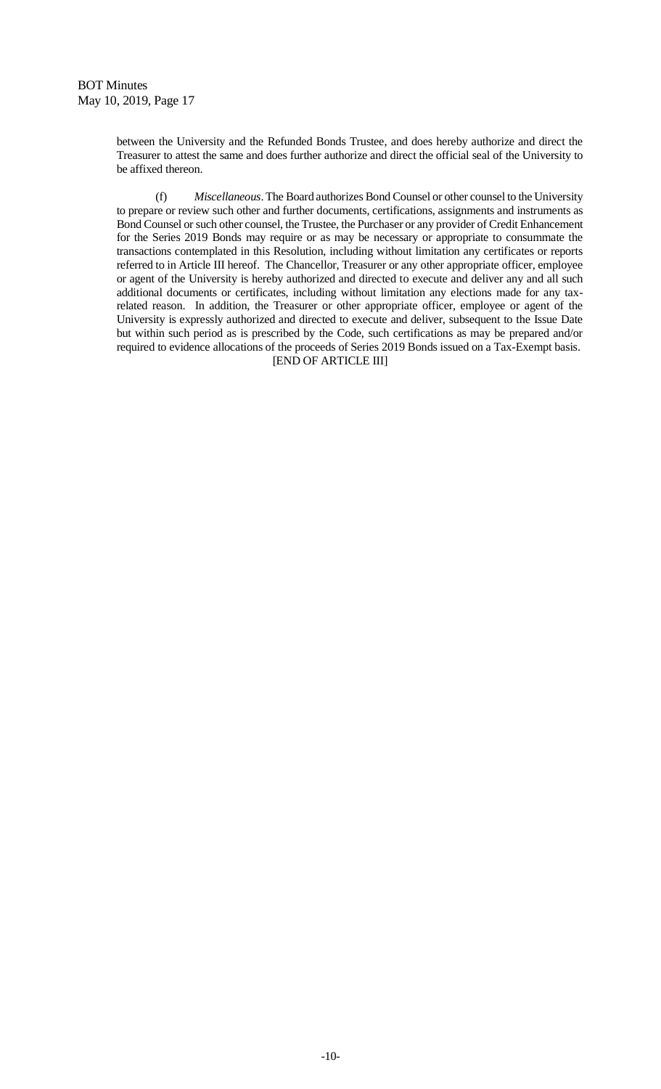between the University and the Refunded Bonds Trustee, and does hereby authorize and direct the Treasurer to attest the same and does further authorize and direct the official seal of the University to be affixed thereon.

(f) *Miscellaneous*. The Board authorizes Bond Counsel or other counsel to the University to prepare or review such other and further documents, certifications, assignments and instruments as Bond Counsel or such other counsel, the Trustee, the Purchaser or any provider of Credit Enhancement for the Series 2019 Bonds may require or as may be necessary or appropriate to consummate the transactions contemplated in this Resolution, including without limitation any certificates or reports referred to in Article III hereof. The Chancellor, Treasurer or any other appropriate officer, employee or agent of the University is hereby authorized and directed to execute and deliver any and all such additional documents or certificates, including without limitation any elections made for any taxrelated reason. In addition, the Treasurer or other appropriate officer, employee or agent of the University is expressly authorized and directed to execute and deliver, subsequent to the Issue Date but within such period as is prescribed by the Code, such certifications as may be prepared and/or required to evidence allocations of the proceeds of Series 2019 Bonds issued on a Tax-Exempt basis. [END OF ARTICLE III]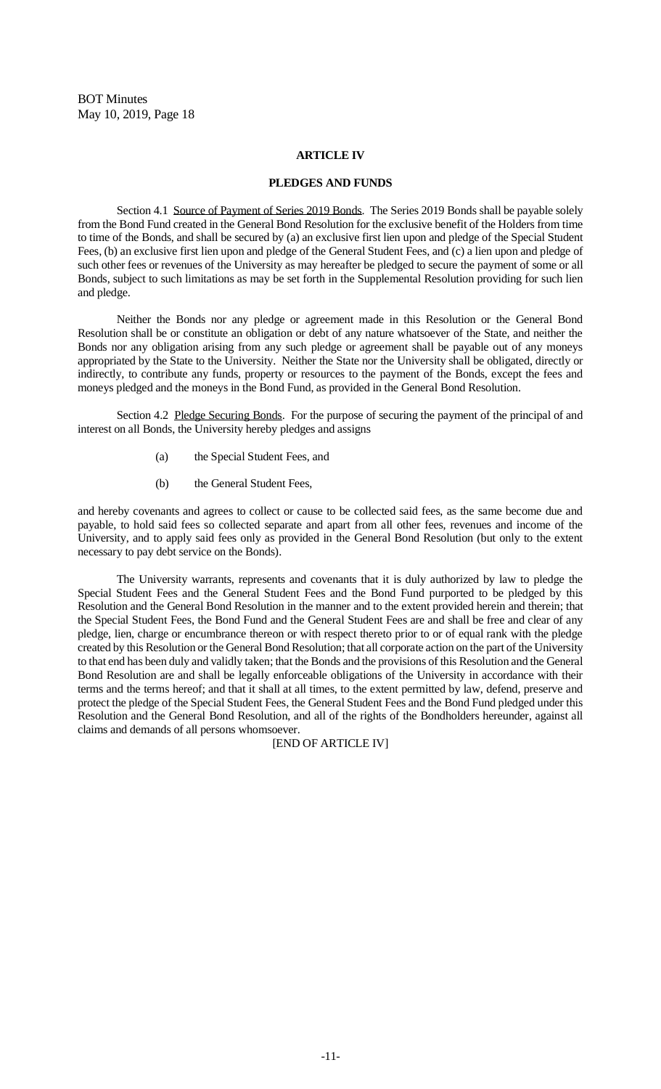#### **ARTICLE IV**

#### **PLEDGES AND FUNDS**

Section 4.1 Source of Payment of Series 2019 Bonds. The Series 2019 Bonds shall be payable solely from the Bond Fund created in the General Bond Resolution for the exclusive benefit of the Holders from time to time of the Bonds, and shall be secured by (a) an exclusive first lien upon and pledge of the Special Student Fees, (b) an exclusive first lien upon and pledge of the General Student Fees, and (c) a lien upon and pledge of such other fees or revenues of the University as may hereafter be pledged to secure the payment of some or all Bonds, subject to such limitations as may be set forth in the Supplemental Resolution providing for such lien and pledge.

Neither the Bonds nor any pledge or agreement made in this Resolution or the General Bond Resolution shall be or constitute an obligation or debt of any nature whatsoever of the State, and neither the Bonds nor any obligation arising from any such pledge or agreement shall be payable out of any moneys appropriated by the State to the University. Neither the State nor the University shall be obligated, directly or indirectly, to contribute any funds, property or resources to the payment of the Bonds, except the fees and moneys pledged and the moneys in the Bond Fund, as provided in the General Bond Resolution.

Section 4.2 Pledge Securing Bonds. For the purpose of securing the payment of the principal of and interest on all Bonds, the University hereby pledges and assigns

- (a) the Special Student Fees, and
- (b) the General Student Fees,

and hereby covenants and agrees to collect or cause to be collected said fees, as the same become due and payable, to hold said fees so collected separate and apart from all other fees, revenues and income of the University, and to apply said fees only as provided in the General Bond Resolution (but only to the extent necessary to pay debt service on the Bonds).

The University warrants, represents and covenants that it is duly authorized by law to pledge the Special Student Fees and the General Student Fees and the Bond Fund purported to be pledged by this Resolution and the General Bond Resolution in the manner and to the extent provided herein and therein; that the Special Student Fees, the Bond Fund and the General Student Fees are and shall be free and clear of any pledge, lien, charge or encumbrance thereon or with respect thereto prior to or of equal rank with the pledge created by this Resolution or the General Bond Resolution; that all corporate action on the part of the University to that end has been duly and validly taken; that the Bonds and the provisions of this Resolution and the General Bond Resolution are and shall be legally enforceable obligations of the University in accordance with their terms and the terms hereof; and that it shall at all times, to the extent permitted by law, defend, preserve and protect the pledge of the Special Student Fees, the General Student Fees and the Bond Fund pledged under this Resolution and the General Bond Resolution, and all of the rights of the Bondholders hereunder, against all claims and demands of all persons whomsoever.

[END OF ARTICLE IV]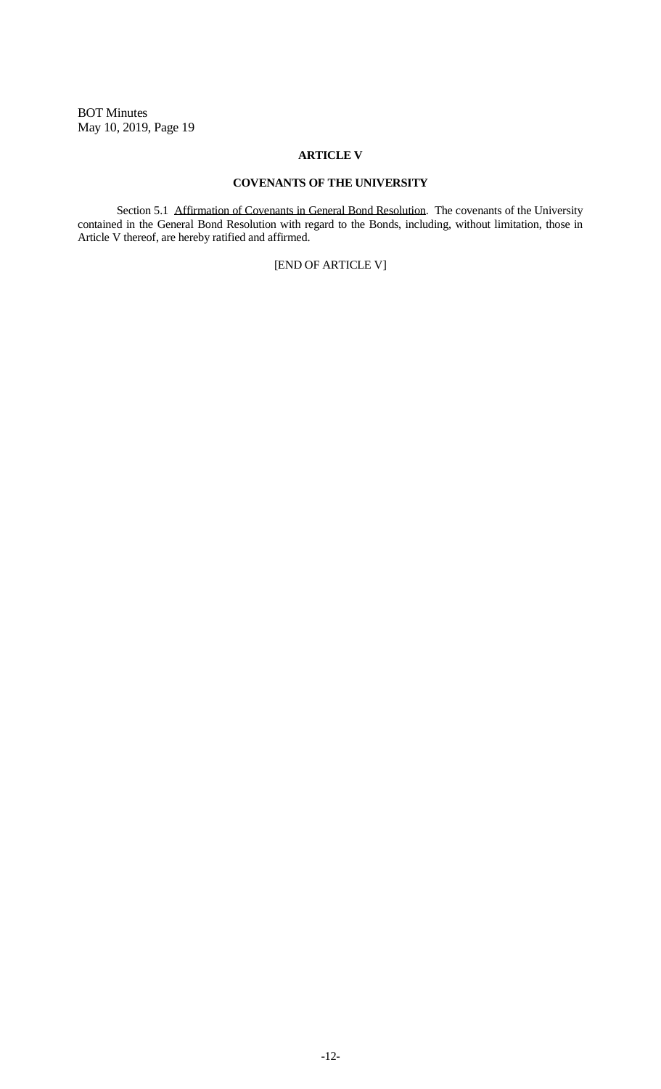#### **ARTICLE V**

## **COVENANTS OF THE UNIVERSITY**

Section 5.1 Affirmation of Covenants in General Bond Resolution. The covenants of the University contained in the General Bond Resolution with regard to the Bonds, including, without limitation, those in Article V thereof, are hereby ratified and affirmed.

## [END OF ARTICLE V]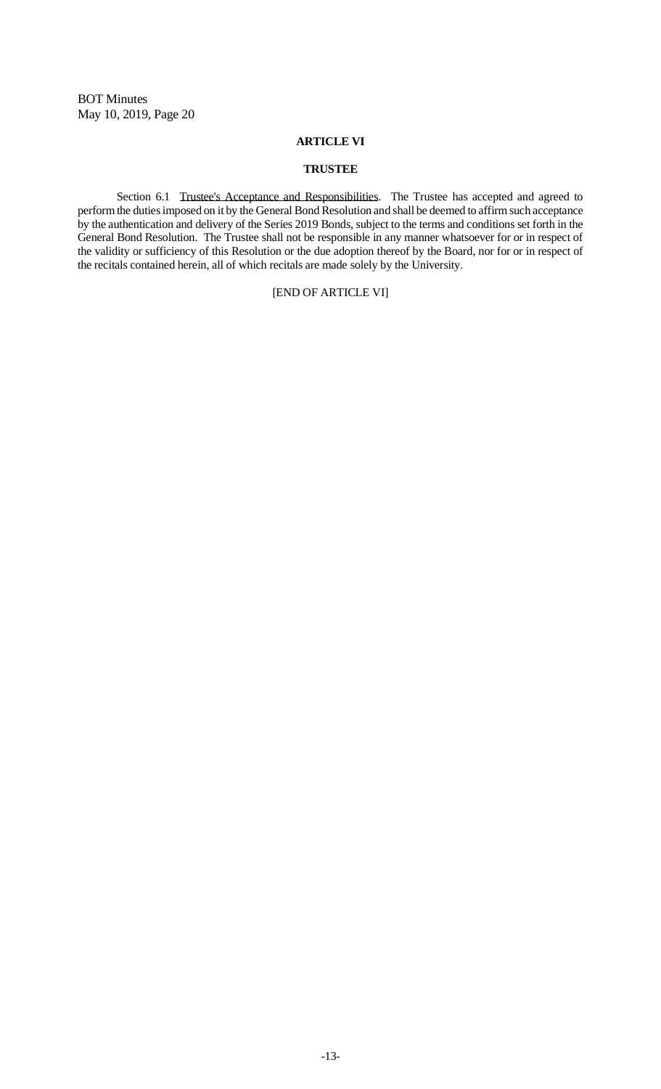#### **ARTICLE VI**

## **TRUSTEE**

Section 6.1 Trustee's Acceptance and Responsibilities. The Trustee has accepted and agreed to perform the duties imposed on it by the General Bond Resolution and shall be deemed to affirm such acceptance by the authentication and delivery of the Series 2019 Bonds, subject to the terms and conditions set forth in the General Bond Resolution. The Trustee shall not be responsible in any manner whatsoever for or in respect of the validity or sufficiency of this Resolution or the due adoption thereof by the Board, nor for or in respect of the recitals contained herein, all of which recitals are made solely by the University.

## [END OF ARTICLE VI]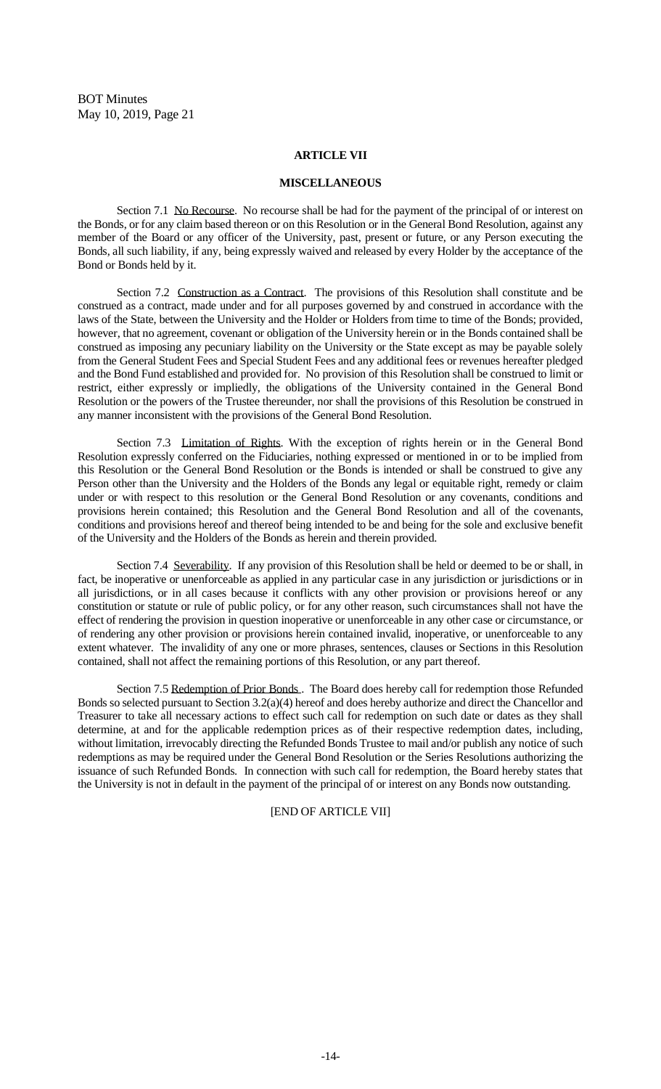#### **ARTICLE VII**

#### **MISCELLANEOUS**

Section 7.1 No Recourse. No recourse shall be had for the payment of the principal of or interest on the Bonds, or for any claim based thereon or on this Resolution or in the General Bond Resolution, against any member of the Board or any officer of the University, past, present or future, or any Person executing the Bonds, all such liability, if any, being expressly waived and released by every Holder by the acceptance of the Bond or Bonds held by it.

Section 7.2 Construction as a Contract. The provisions of this Resolution shall constitute and be construed as a contract, made under and for all purposes governed by and construed in accordance with the laws of the State, between the University and the Holder or Holders from time to time of the Bonds; provided, however, that no agreement, covenant or obligation of the University herein or in the Bonds contained shall be construed as imposing any pecuniary liability on the University or the State except as may be payable solely from the General Student Fees and Special Student Fees and any additional fees or revenues hereafter pledged and the Bond Fund established and provided for. No provision of this Resolution shall be construed to limit or restrict, either expressly or impliedly, the obligations of the University contained in the General Bond Resolution or the powers of the Trustee thereunder, nor shall the provisions of this Resolution be construed in any manner inconsistent with the provisions of the General Bond Resolution.

Section 7.3 Limitation of Rights. With the exception of rights herein or in the General Bond Resolution expressly conferred on the Fiduciaries, nothing expressed or mentioned in or to be implied from this Resolution or the General Bond Resolution or the Bonds is intended or shall be construed to give any Person other than the University and the Holders of the Bonds any legal or equitable right, remedy or claim under or with respect to this resolution or the General Bond Resolution or any covenants, conditions and provisions herein contained; this Resolution and the General Bond Resolution and all of the covenants, conditions and provisions hereof and thereof being intended to be and being for the sole and exclusive benefit of the University and the Holders of the Bonds as herein and therein provided.

Section 7.4 Severability. If any provision of this Resolution shall be held or deemed to be or shall, in fact, be inoperative or unenforceable as applied in any particular case in any jurisdiction or jurisdictions or in all jurisdictions, or in all cases because it conflicts with any other provision or provisions hereof or any constitution or statute or rule of public policy, or for any other reason, such circumstances shall not have the effect of rendering the provision in question inoperative or unenforceable in any other case or circumstance, or of rendering any other provision or provisions herein contained invalid, inoperative, or unenforceable to any extent whatever. The invalidity of any one or more phrases, sentences, clauses or Sections in this Resolution contained, shall not affect the remaining portions of this Resolution, or any part thereof.

Section 7.5 Redemption of Prior Bonds . The Board does hereby call for redemption those Refunded Bonds so selected pursuant to Section 3.2(a)(4) hereof and does hereby authorize and direct the Chancellor and Treasurer to take all necessary actions to effect such call for redemption on such date or dates as they shall determine, at and for the applicable redemption prices as of their respective redemption dates, including, without limitation, irrevocably directing the Refunded Bonds Trustee to mail and/or publish any notice of such redemptions as may be required under the General Bond Resolution or the Series Resolutions authorizing the issuance of such Refunded Bonds. In connection with such call for redemption, the Board hereby states that the University is not in default in the payment of the principal of or interest on any Bonds now outstanding.

#### [END OF ARTICLE VII]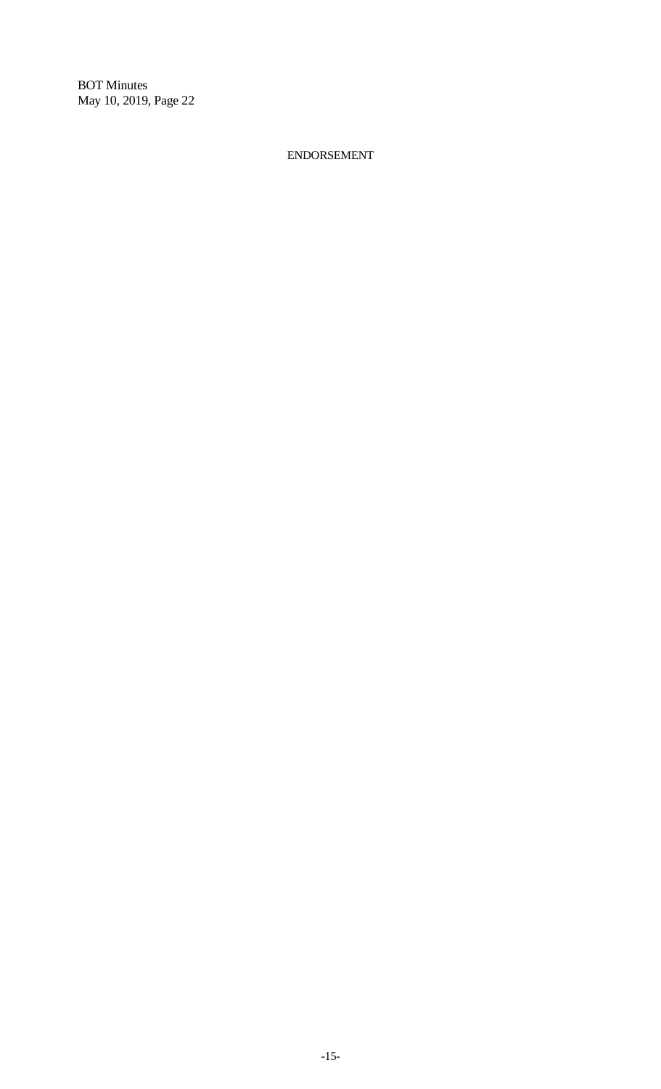ENDORSEMENT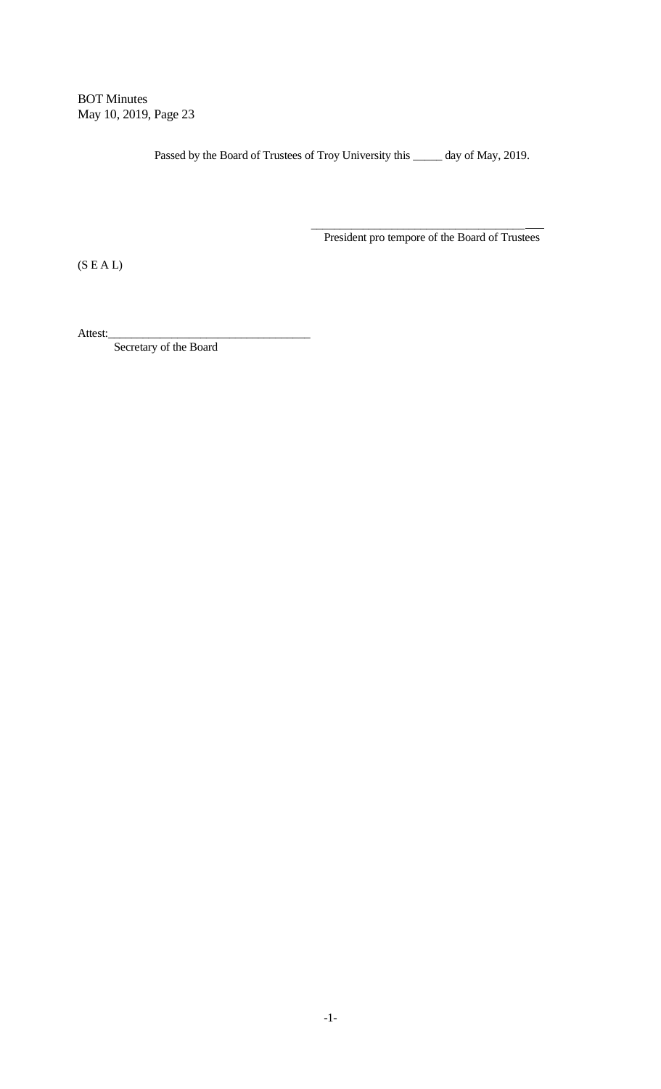Passed by the Board of Trustees of Troy University this \_\_\_\_\_\_ day of May, 2019.

President pro tempore of the Board of Trustees

\_\_\_\_\_\_\_\_\_\_\_\_\_\_\_\_\_\_\_\_\_\_\_\_\_\_\_\_\_\_\_\_\_\_\_\_\_

 $(S E A L)$ 

Attest:\_

Secretary of the Board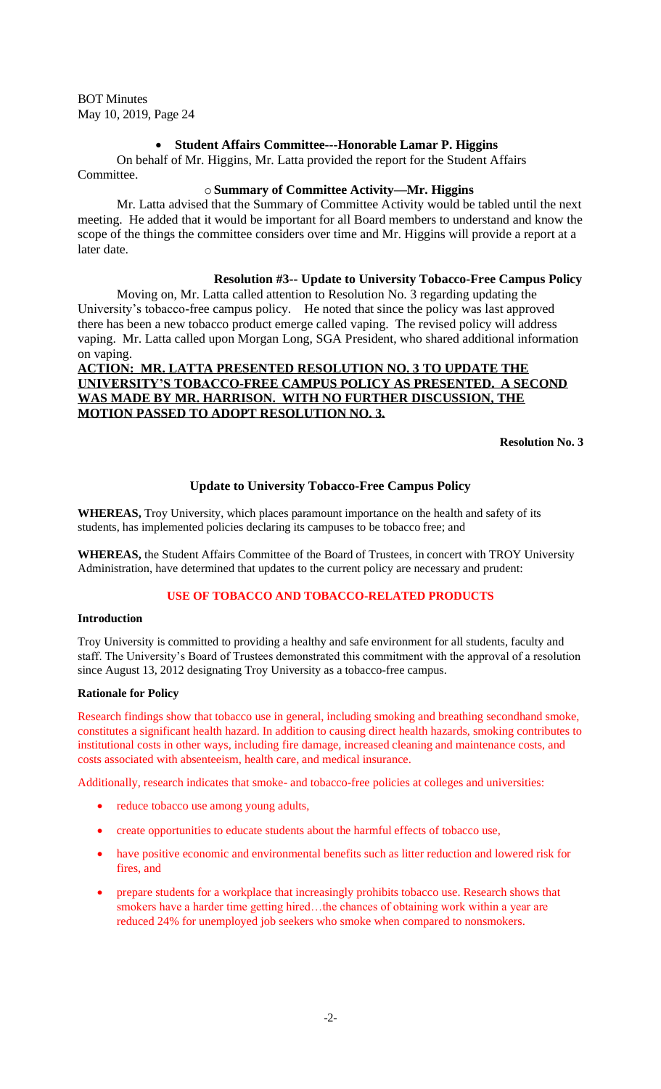## • **Student Affairs Committee---Honorable Lamar P. Higgins**

On behalf of Mr. Higgins, Mr. Latta provided the report for the Student Affairs Committee.

## o**Summary of Committee Activity—Mr. Higgins**

Mr. Latta advised that the Summary of Committee Activity would be tabled until the next meeting. He added that it would be important for all Board members to understand and know the scope of the things the committee considers over time and Mr. Higgins will provide a report at a later date.

## **Resolution #3-- Update to University Tobacco-Free Campus Policy**

Moving on, Mr. Latta called attention to Resolution No. 3 regarding updating the University's tobacco-free campus policy. He noted that since the policy was last approved there has been a new tobacco product emerge called vaping. The revised policy will address vaping. Mr. Latta called upon Morgan Long, SGA President, who shared additional information on vaping.

**ACTION: MR. LATTA PRESENTED RESOLUTION NO. 3 TO UPDATE THE UNIVERSITY'S TOBACCO-FREE CAMPUS POLICY AS PRESENTED. A SECOND WAS MADE BY MR. HARRISON. WITH NO FURTHER DISCUSSION, THE MOTION PASSED TO ADOPT RESOLUTION NO. 3.**

**Resolution No. 3**

## **Update to University Tobacco-Free Campus Policy**

**WHEREAS,** Troy University, which places paramount importance on the health and safety of its students, has implemented policies declaring its campuses to be tobacco free; and

**WHEREAS,** the Student Affairs Committee of the Board of Trustees, in concert with TROY University Administration, have determined that updates to the current policy are necessary and prudent:

## **USE OF TOBACCO AND TOBACCO-RELATED PRODUCTS**

#### **Introduction**

Troy University is committed to providing a healthy and safe environment for all students, faculty and staff. The University's Board of Trustees demonstrated this commitment with the approval of a resolution since August 13, 2012 designating Troy University as a tobacco-free campus.

## **Rationale for Policy**

Research findings show that tobacco use in general, including smoking and breathing secondhand smoke, constitutes a significant health hazard. In addition to causing direct health hazards, smoking contributes to institutional costs in other ways, including fire damage, increased cleaning and maintenance costs, and costs associated with absenteeism, health care, and medical insurance.

Additionally, research indicates that smoke- and tobacco-free policies at colleges and universities:

- reduce tobacco use among young adults,
- create opportunities to educate students about the harmful effects of tobacco use,
- have positive economic and environmental benefits such as litter reduction and lowered risk for fires, and
- prepare students for a workplace that increasingly prohibits tobacco use. Research shows that smokers have a harder time getting hired...the chances of obtaining work within a year are reduced 24% for unemployed job seekers who smoke when compared to nonsmokers.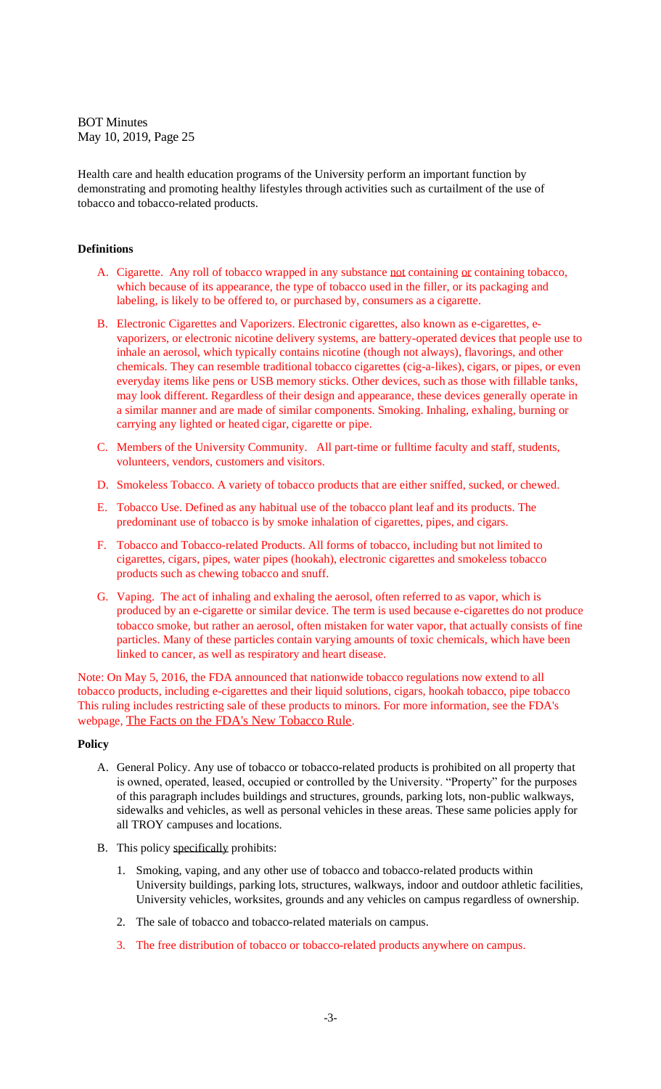Health care and health education programs of the University perform an important function by demonstrating and promoting healthy lifestyles through activities such as curtailment of the use of tobacco and tobacco-related products.

#### **Definitions**

- A. Cigarette. Any roll of tobacco wrapped in any substance not containing or containing tobacco, which because of its appearance, the type of tobacco used in the filler, or its packaging and labeling, is likely to be offered to, or purchased by, consumers as a cigarette.
- B. Electronic Cigarettes and Vaporizers. Electronic cigarettes, also known as e-cigarettes, evaporizers, or electronic nicotine delivery systems, are battery-operated devices that people use to inhale an aerosol, which typically contains nicotine (though not always), flavorings, and other chemicals. They can resemble traditional tobacco cigarettes (cig-a-likes), cigars, or pipes, or even everyday items like pens or USB memory sticks. Other devices, such as those with fillable tanks, may look different. Regardless of their design and appearance, these devices generally operate in a similar manner and are made of similar components. Smoking. Inhaling, exhaling, burning or carrying any lighted or heated cigar, cigarette or pipe.
- C. Members of the University Community. All part-time or fulltime faculty and staff, students, volunteers, vendors, customers and visitors.
- D. Smokeless Tobacco. A variety of tobacco products that are either sniffed, sucked, or chewed.
- E. Tobacco Use. Defined as any habitual use of the tobacco plant leaf and its products. The predominant use of tobacco is by smoke inhalation of cigarettes, pipes, and cigars.
- F. Tobacco and Tobacco-related Products. All forms of tobacco, including but not limited to cigarettes, cigars, pipes, water pipes (hookah), electronic cigarettes and smokeless tobacco products such as chewing tobacco and snuff.
- G. Vaping. The act of inhaling and exhaling the aerosol, often referred to as vapor, which is produced by an e-cigarette or similar device. The term is used because e-cigarettes do not produce tobacco smoke, but rather an aerosol, often mistaken for water vapor, that actually consists of fine particles. Many of these particles contain varying amounts of toxic chemicals, which have been linked to cancer, as well as respiratory and heart disease.

Note: On May 5, 2016, the FDA announced that nationwide tobacco regulations now extend to all tobacco products, including e-cigarettes and their liquid solutions, cigars, hookah tobacco, pipe tobacco This ruling includes restricting sale of these products to minors. For more information, see the FDA's webpage, [The Facts on the FDA's New Tobacco Rule](https://nam03.safelinks.protection.outlook.com/?url=https%3A%2F%2Fwww.fda.gov%2FForConsumers%2FConsumerUpdates%2Fucm506676.htm&data=02%7C01%7Cmbsteed%40troy.edu%7C4237020954eb436e833e08d6ce3962b4%7C8de80de86d8a47cbb5bc7fb9b5bf1c64%7C0%7C0%7C636923143295512680&sdata=VrSQCfZwpcSTx9lBBU%2BrH9BE00BhLP%2B4drm%2BzYzz9Yk%3D&reserved=0).

#### **Policy**

- A. General Policy. Any use of tobacco or tobacco-related products is prohibited on all property that is owned, operated, leased, occupied or controlled by the University. "Property" for the purposes of this paragraph includes buildings and structures, grounds, parking lots, non-public walkways, sidewalks and vehicles, as well as personal vehicles in these areas. These same policies apply for all TROY campuses and locations.
- B. This policy specifically prohibits:
	- 1. Smoking, vaping, and any other use of tobacco and tobacco-related products within University buildings, parking lots, structures, walkways, indoor and outdoor athletic facilities, University vehicles, worksites, grounds and any vehicles on campus regardless of ownership.
	- 2. The sale of tobacco and tobacco-related materials on campus.
	- 3. The free distribution of tobacco or tobacco-related products anywhere on campus.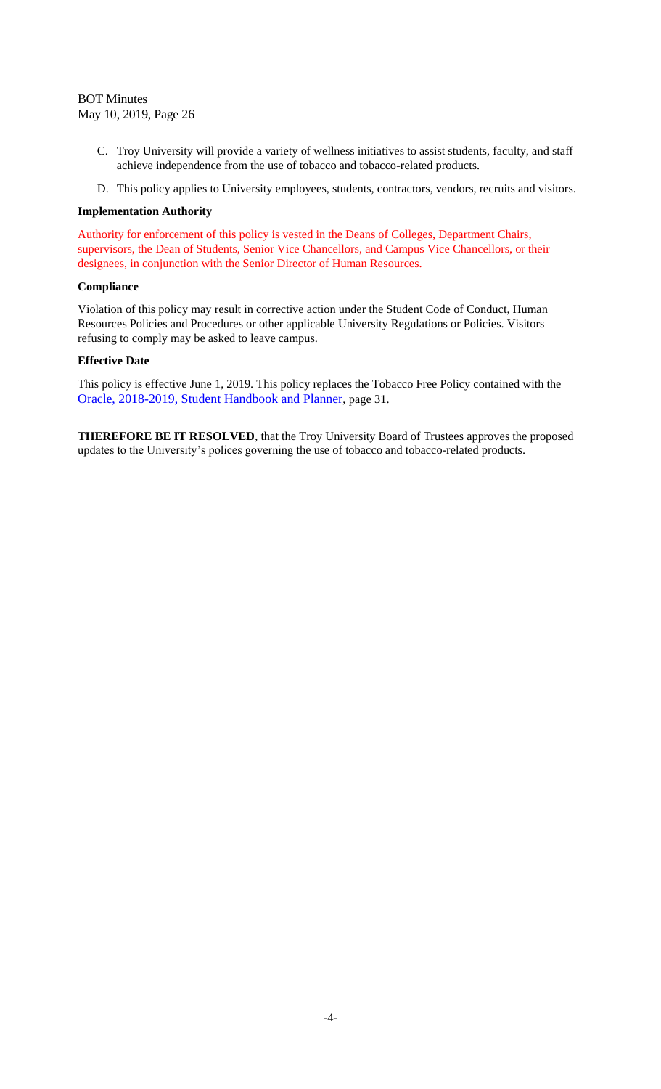- C. Troy University will provide a variety of wellness initiatives to assist students, faculty, and staff achieve independence from the use of tobacco and tobacco-related products.
- D. This policy applies to University employees, students, contractors, vendors, recruits and visitors.

#### **Implementation Authority**

Authority for enforcement of this policy is vested in the Deans of Colleges, Department Chairs, supervisors, the Dean of Students, Senior Vice Chancellors, and Campus Vice Chancellors, or their designees, in conjunction with the Senior Director of Human Resources.

#### **Compliance**

Violation of this policy may result in corrective action under the Student Code of Conduct, Human Resources Policies and Procedures or other applicable University Regulations or Policies. Visitors refusing to comply may be asked to leave campus.

#### **Effective Date**

This policy is effective June 1, 2019. This policy replaces the Tobacco Free Policy contained with the [Oracle, 2018-2019, Student Handbook and Planner](https://nam03.safelinks.protection.outlook.com/?url=https%3A%2F%2Fwww.troy.edu%2F_assets%2Fstudent-resources%2F_documents%2F2018-2019-oracle.pdf&data=02%7C01%7Cmbsteed%40troy.edu%7C4237020954eb436e833e08d6ce3962b4%7C8de80de86d8a47cbb5bc7fb9b5bf1c64%7C0%7C0%7C636923143295512680&sdata=pv%2FtJu8IbrlHR5uvcNh68eWHJqYidP0wmvJkEzrFUDM%3D&reserved=0), page 31.

**THEREFORE BE IT RESOLVED**, that the Troy University Board of Trustees approves the proposed updates to the University's polices governing the use of tobacco and tobacco-related products.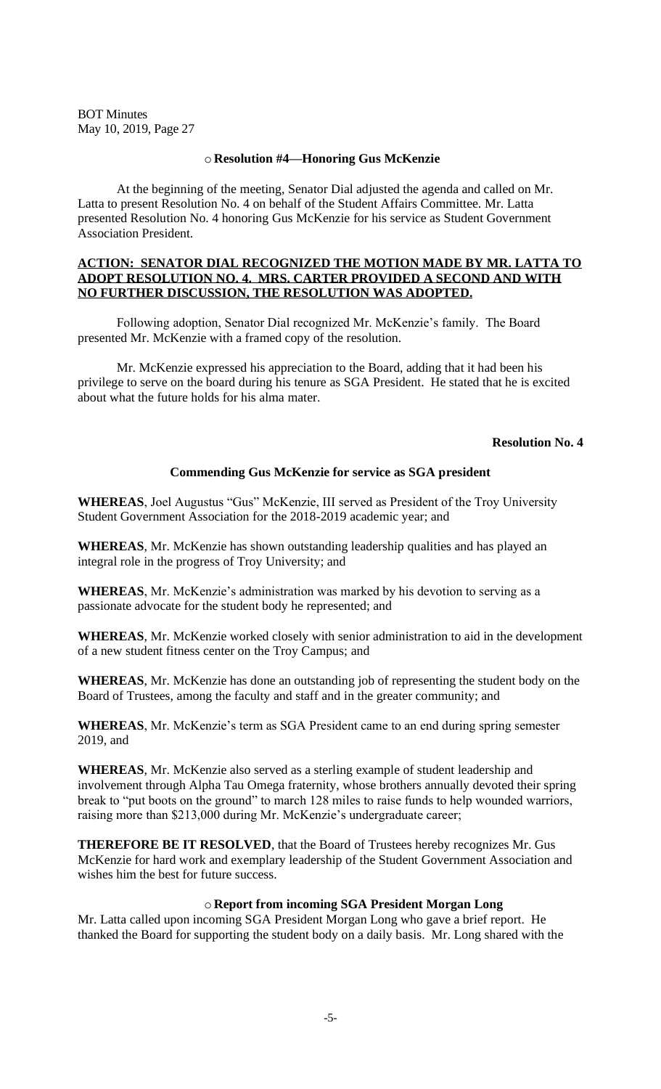#### o **Resolution #4—Honoring Gus McKenzie**

At the beginning of the meeting, Senator Dial adjusted the agenda and called on Mr. Latta to present Resolution No. 4 on behalf of the Student Affairs Committee. Mr. Latta presented Resolution No. 4 honoring Gus McKenzie for his service as Student Government Association President.

## **ACTION: SENATOR DIAL RECOGNIZED THE MOTION MADE BY MR. LATTA TO ADOPT RESOLUTION NO. 4. MRS. CARTER PROVIDED A SECOND AND WITH NO FURTHER DISCUSSION, THE RESOLUTION WAS ADOPTED.**

Following adoption, Senator Dial recognized Mr. McKenzie's family. The Board presented Mr. McKenzie with a framed copy of the resolution.

Mr. McKenzie expressed his appreciation to the Board, adding that it had been his privilege to serve on the board during his tenure as SGA President. He stated that he is excited about what the future holds for his alma mater.

#### **Resolution No. 4**

#### **Commending Gus McKenzie for service as SGA president**

**WHEREAS**, Joel Augustus "Gus" McKenzie, III served as President of the Troy University Student Government Association for the 2018-2019 academic year; and

**WHEREAS**, Mr. McKenzie has shown outstanding leadership qualities and has played an integral role in the progress of Troy University; and

**WHEREAS**, Mr. McKenzie's administration was marked by his devotion to serving as a passionate advocate for the student body he represented; and

**WHEREAS**, Mr. McKenzie worked closely with senior administration to aid in the development of a new student fitness center on the Troy Campus; and

**WHEREAS**, Mr. McKenzie has done an outstanding job of representing the student body on the Board of Trustees, among the faculty and staff and in the greater community; and

**WHEREAS**, Mr. McKenzie's term as SGA President came to an end during spring semester 2019, and

**WHEREAS**, Mr. McKenzie also served as a sterling example of student leadership and involvement through Alpha Tau Omega fraternity, whose brothers annually devoted their spring break to "put boots on the ground" to march 128 miles to raise funds to help wounded warriors, raising more than \$213,000 during Mr. McKenzie's undergraduate career;

**THEREFORE BE IT RESOLVED**, that the Board of Trustees hereby recognizes Mr. Gus McKenzie for hard work and exemplary leadership of the Student Government Association and wishes him the best for future success.

#### o **Report from incoming SGA President Morgan Long**

Mr. Latta called upon incoming SGA President Morgan Long who gave a brief report. He thanked the Board for supporting the student body on a daily basis. Mr. Long shared with the